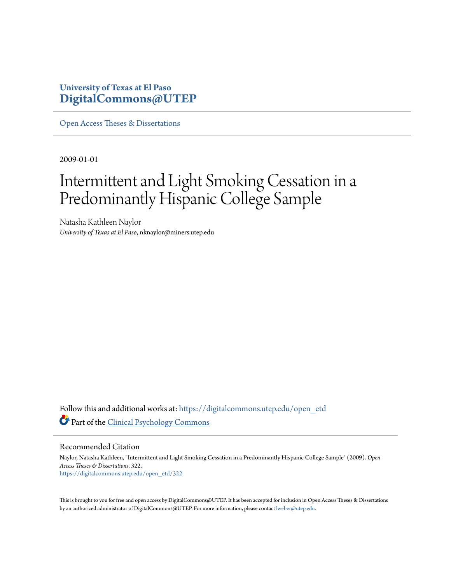## **University of Texas at El Paso [DigitalCommons@UTEP](https://digitalcommons.utep.edu/?utm_source=digitalcommons.utep.edu%2Fopen_etd%2F322&utm_medium=PDF&utm_campaign=PDFCoverPages)**

[Open Access Theses & Dissertations](https://digitalcommons.utep.edu/open_etd?utm_source=digitalcommons.utep.edu%2Fopen_etd%2F322&utm_medium=PDF&utm_campaign=PDFCoverPages)

2009-01-01

# Intermittent and Light Smoking Cessation in a Predominantly Hispanic College Sample

Natasha Kathleen Naylor *University of Texas at El Paso*, nknaylor@miners.utep.edu

Follow this and additional works at: [https://digitalcommons.utep.edu/open\\_etd](https://digitalcommons.utep.edu/open_etd?utm_source=digitalcommons.utep.edu%2Fopen_etd%2F322&utm_medium=PDF&utm_campaign=PDFCoverPages) Part of the [Clinical Psychology Commons](http://network.bepress.com/hgg/discipline/406?utm_source=digitalcommons.utep.edu%2Fopen_etd%2F322&utm_medium=PDF&utm_campaign=PDFCoverPages)

Recommended Citation

Naylor, Natasha Kathleen, "Intermittent and Light Smoking Cessation in a Predominantly Hispanic College Sample" (2009). *Open Access Theses & Dissertations*. 322. [https://digitalcommons.utep.edu/open\\_etd/322](https://digitalcommons.utep.edu/open_etd/322?utm_source=digitalcommons.utep.edu%2Fopen_etd%2F322&utm_medium=PDF&utm_campaign=PDFCoverPages)

This is brought to you for free and open access by DigitalCommons@UTEP. It has been accepted for inclusion in Open Access Theses & Dissertations by an authorized administrator of DigitalCommons@UTEP. For more information, please contact [lweber@utep.edu.](mailto:lweber@utep.edu)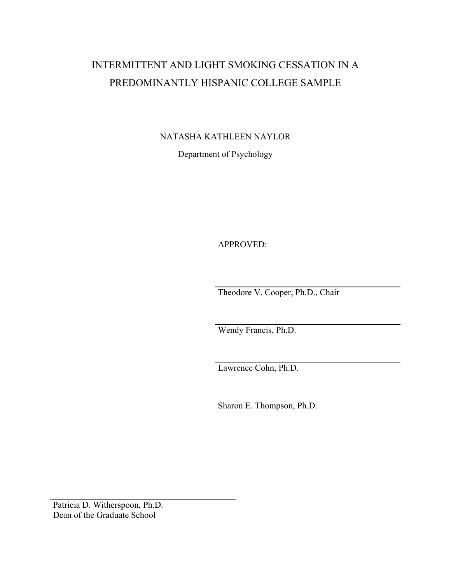## INTERMITTENT AND LIGHT SMOKING CESSATION IN A PREDOMINANTLY HISPANIC COLLEGE SAMPLE

NATASHA KATHLEEN NAYLOR

Department of Psychology

APPROVED:

Theodore V. Cooper, Ph.D., Chair

Wendy Francis, Ph.D.

Lawrence Cohn, Ph.D.

Sharon E. Thompson, Ph.D.

Patricia D. Witherspoon, Ph.D. Dean of the Graduate School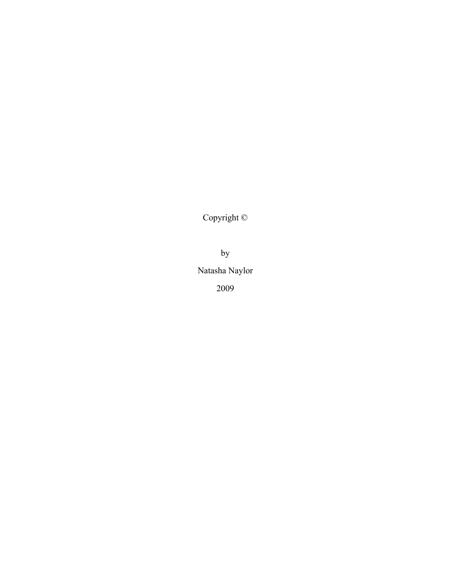Copyright ©

by

Natasha Naylor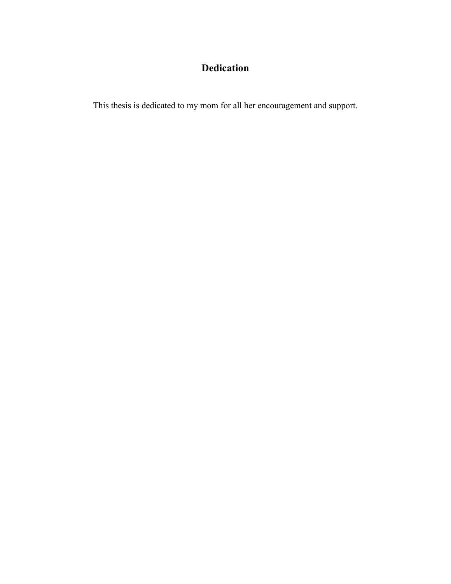## **Dedication**

This thesis is dedicated to my mom for all her encouragement and support.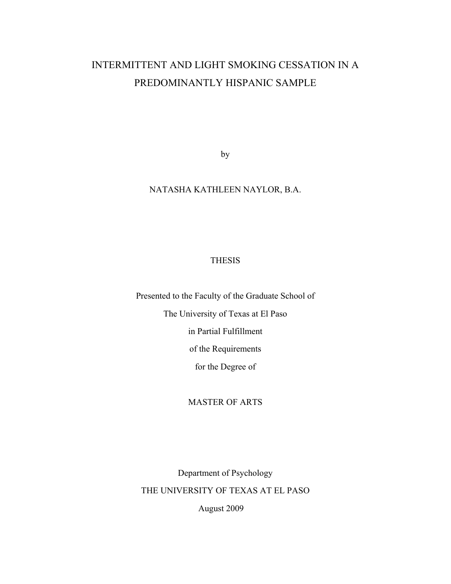## INTERMITTENT AND LIGHT SMOKING CESSATION IN A PREDOMINANTLY HISPANIC SAMPLE

by

### NATASHA KATHLEEN NAYLOR, B.A.

#### **THESIS**

Presented to the Faculty of the Graduate School of The University of Texas at El Paso in Partial Fulfillment of the Requirements for the Degree of

#### MASTER OF ARTS

Department of Psychology THE UNIVERSITY OF TEXAS AT EL PASO

August 2009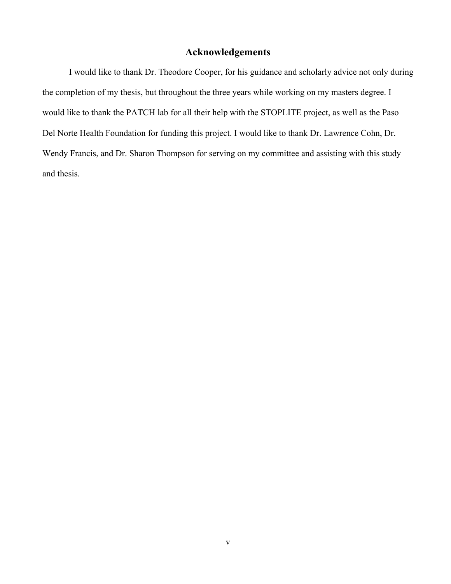## **Acknowledgements**

I would like to thank Dr. Theodore Cooper, for his guidance and scholarly advice not only during the completion of my thesis, but throughout the three years while working on my masters degree. I would like to thank the PATCH lab for all their help with the STOPLITE project, as well as the Paso Del Norte Health Foundation for funding this project. I would like to thank Dr. Lawrence Cohn, Dr. Wendy Francis, and Dr. Sharon Thompson for serving on my committee and assisting with this study and thesis.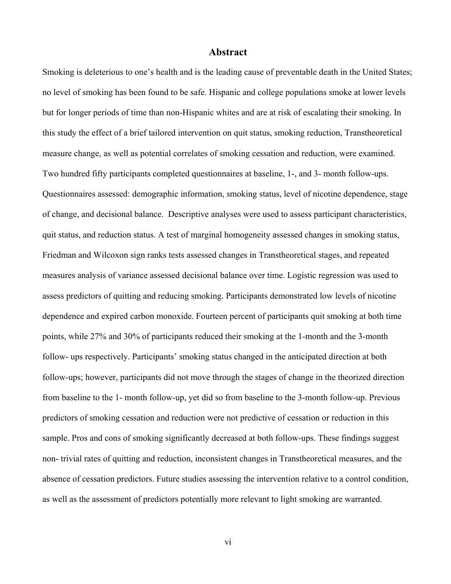### **Abstract**

Smoking is deleterious to one's health and is the leading cause of preventable death in the United States; no level of smoking has been found to be safe. Hispanic and college populations smoke at lower levels but for longer periods of time than non-Hispanic whites and are at risk of escalating their smoking. In this study the effect of a brief tailored intervention on quit status, smoking reduction, Transtheoretical measure change, as well as potential correlates of smoking cessation and reduction, were examined. Two hundred fifty participants completed questionnaires at baseline, 1-, and 3- month follow-ups. Questionnaires assessed: demographic information, smoking status, level of nicotine dependence, stage of change, and decisional balance. Descriptive analyses were used to assess participant characteristics, quit status, and reduction status. A test of marginal homogeneity assessed changes in smoking status, Friedman and Wilcoxon sign ranks tests assessed changes in Transtheoretical stages, and repeated measures analysis of variance assessed decisional balance over time. Logistic regression was used to assess predictors of quitting and reducing smoking. Participants demonstrated low levels of nicotine dependence and expired carbon monoxide. Fourteen percent of participants quit smoking at both time points, while 27% and 30% of participants reduced their smoking at the 1-month and the 3-month follow- ups respectively. Participants' smoking status changed in the anticipated direction at both follow-ups; however, participants did not move through the stages of change in the theorized direction from baseline to the 1- month follow-up, yet did so from baseline to the 3-month follow-up. Previous predictors of smoking cessation and reduction were not predictive of cessation or reduction in this sample. Pros and cons of smoking significantly decreased at both follow-ups. These findings suggest non- trivial rates of quitting and reduction, inconsistent changes in Transtheoretical measures, and the absence of cessation predictors. Future studies assessing the intervention relative to a control condition, as well as the assessment of predictors potentially more relevant to light smoking are warranted.

vi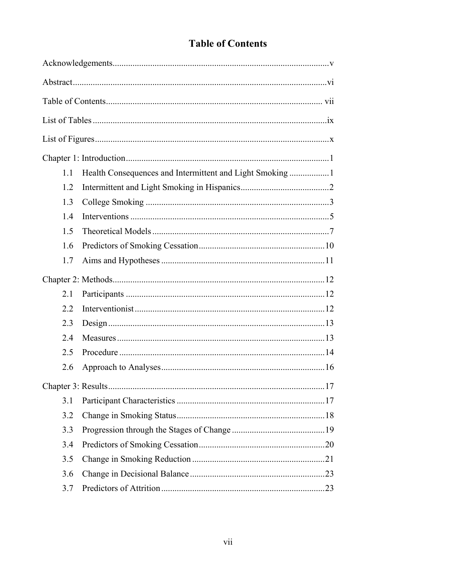## **Table of Contents**

| 1.1 |  |
|-----|--|
| 1.2 |  |
| 1.3 |  |
| 1.4 |  |
| 1.5 |  |
| 1.6 |  |
| 1.7 |  |
|     |  |
| 2.1 |  |
| 2.2 |  |
| 2.3 |  |
| 2.4 |  |
| 2.5 |  |
| 2.6 |  |
|     |  |
| 3.1 |  |
| 3.2 |  |
| 3.3 |  |
| 3.4 |  |
| 3.5 |  |
| 3.6 |  |
| 3.7 |  |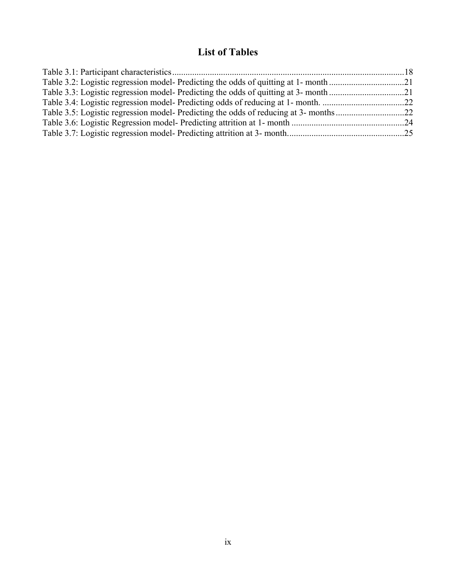## **List of Tables**

|                                                                                      | - 18 |
|--------------------------------------------------------------------------------------|------|
|                                                                                      |      |
| Table 3.3: Logistic regression model- Predicting the odds of quitting at 3- month    | . 21 |
|                                                                                      |      |
| Table 3.5: Logistic regression model- Predicting the odds of reducing at 3- months22 |      |
|                                                                                      | - 24 |
|                                                                                      |      |
|                                                                                      |      |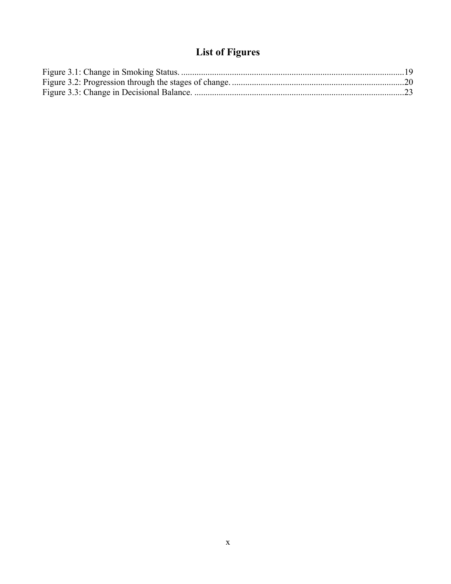## **List of Figures**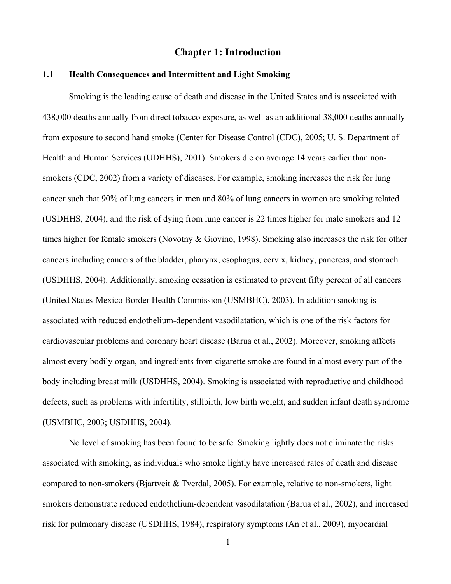#### **Chapter 1: Introduction**

#### **1.1 Health Consequences and Intermittent and Light Smoking**

Smoking is the leading cause of death and disease in the United States and is associated with 438,000 deaths annually from direct tobacco exposure, as well as an additional 38,000 deaths annually from exposure to second hand smoke (Center for Disease Control (CDC), 2005; U. S. Department of Health and Human Services (UDHHS), 2001). Smokers die on average 14 years earlier than nonsmokers (CDC, 2002) from a variety of diseases. For example, smoking increases the risk for lung cancer such that 90% of lung cancers in men and 80% of lung cancers in women are smoking related (USDHHS, 2004), and the risk of dying from lung cancer is 22 times higher for male smokers and 12 times higher for female smokers (Novotny & Giovino, 1998). Smoking also increases the risk for other cancers including cancers of the bladder, pharynx, esophagus, cervix, kidney, pancreas, and stomach (USDHHS, 2004). Additionally, smoking cessation is estimated to prevent fifty percent of all cancers (United States-Mexico Border Health Commission (USMBHC), 2003). In addition smoking is associated with reduced endothelium-dependent vasodilatation, which is one of the risk factors for cardiovascular problems and coronary heart disease (Barua et al., 2002). Moreover, smoking affects almost every bodily organ, and ingredients from cigarette smoke are found in almost every part of the body including breast milk (USDHHS, 2004). Smoking is associated with reproductive and childhood defects, such as problems with infertility, stillbirth, low birth weight, and sudden infant death syndrome (USMBHC, 2003; USDHHS, 2004).

No level of smoking has been found to be safe. Smoking lightly does not eliminate the risks associated with smoking, as individuals who smoke lightly have increased rates of death and disease compared to non-smokers (Bjartveit & Tverdal, 2005). For example, relative to non-smokers, light smokers demonstrate reduced endothelium-dependent vasodilatation (Barua et al., 2002), and increased risk for pulmonary disease (USDHHS, 1984), respiratory symptoms (An et al., 2009), myocardial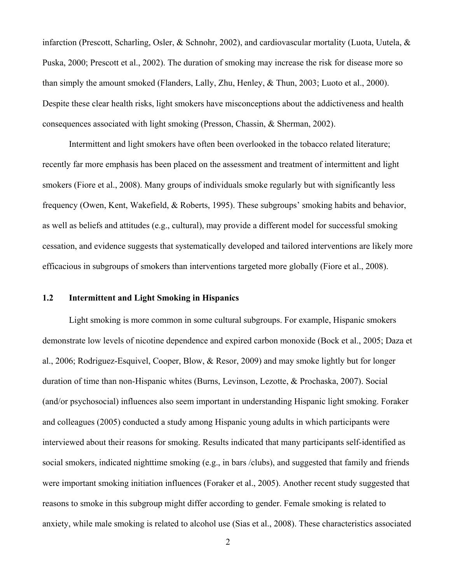infarction (Prescott, Scharling, Osler, & Schnohr, 2002), and cardiovascular mortality (Luota, Uutela, & Puska, 2000; Prescott et al., 2002). The duration of smoking may increase the risk for disease more so than simply the amount smoked (Flanders, Lally, Zhu, Henley, & Thun, 2003; Luoto et al., 2000). Despite these clear health risks, light smokers have misconceptions about the addictiveness and health consequences associated with light smoking (Presson, Chassin, & Sherman, 2002).

Intermittent and light smokers have often been overlooked in the tobacco related literature; recently far more emphasis has been placed on the assessment and treatment of intermittent and light smokers (Fiore et al., 2008). Many groups of individuals smoke regularly but with significantly less frequency (Owen, Kent, Wakefield, & Roberts, 1995). These subgroups' smoking habits and behavior, as well as beliefs and attitudes (e.g., cultural), may provide a different model for successful smoking cessation, and evidence suggests that systematically developed and tailored interventions are likely more efficacious in subgroups of smokers than interventions targeted more globally (Fiore et al., 2008).

#### **1.2 Intermittent and Light Smoking in Hispanics**

Light smoking is more common in some cultural subgroups. For example, Hispanic smokers demonstrate low levels of nicotine dependence and expired carbon monoxide (Bock et al., 2005; Daza et al., 2006; Rodriguez-Esquivel, Cooper, Blow, & Resor, 2009) and may smoke lightly but for longer duration of time than non-Hispanic whites (Burns, Levinson, Lezotte, & Prochaska, 2007). Social (and/or psychosocial) influences also seem important in understanding Hispanic light smoking. Foraker and colleagues (2005) conducted a study among Hispanic young adults in which participants were interviewed about their reasons for smoking. Results indicated that many participants self-identified as social smokers, indicated nighttime smoking (e.g., in bars /clubs), and suggested that family and friends were important smoking initiation influences (Foraker et al., 2005). Another recent study suggested that reasons to smoke in this subgroup might differ according to gender. Female smoking is related to anxiety, while male smoking is related to alcohol use (Sias et al., 2008). These characteristics associated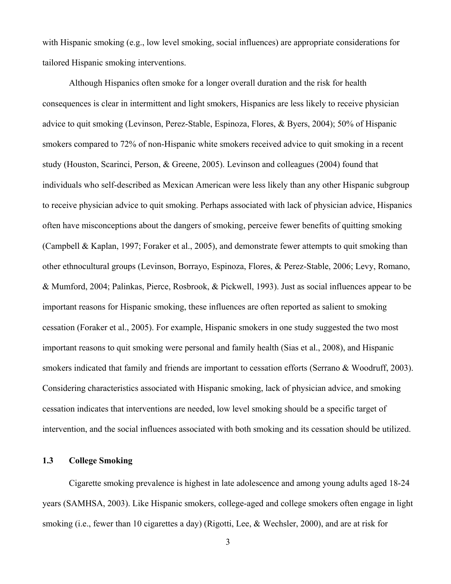with Hispanic smoking (e.g., low level smoking, social influences) are appropriate considerations for tailored Hispanic smoking interventions.

Although Hispanics often smoke for a longer overall duration and the risk for health consequences is clear in intermittent and light smokers, Hispanics are less likely to receive physician advice to quit smoking (Levinson, Perez-Stable, Espinoza, Flores, & Byers, 2004); 50% of Hispanic smokers compared to 72% of non-Hispanic white smokers received advice to quit smoking in a recent study (Houston, Scarinci, Person, & Greene, 2005). Levinson and colleagues (2004) found that individuals who self-described as Mexican American were less likely than any other Hispanic subgroup to receive physician advice to quit smoking. Perhaps associated with lack of physician advice, Hispanics often have misconceptions about the dangers of smoking, perceive fewer benefits of quitting smoking (Campbell & Kaplan, 1997; Foraker et al., 2005), and demonstrate fewer attempts to quit smoking than other ethnocultural groups (Levinson, Borrayo, Espinoza, Flores, & Perez-Stable, 2006; Levy, Romano, & Mumford, 2004; Palinkas, Pierce, Rosbrook, & Pickwell, 1993). Just as social influences appear to be important reasons for Hispanic smoking, these influences are often reported as salient to smoking cessation (Foraker et al., 2005). For example, Hispanic smokers in one study suggested the two most important reasons to quit smoking were personal and family health (Sias et al., 2008), and Hispanic smokers indicated that family and friends are important to cessation efforts (Serrano & Woodruff, 2003). Considering characteristics associated with Hispanic smoking, lack of physician advice, and smoking cessation indicates that interventions are needed, low level smoking should be a specific target of intervention, and the social influences associated with both smoking and its cessation should be utilized.

#### **1.3 College Smoking**

Cigarette smoking prevalence is highest in late adolescence and among young adults aged 18-24 years (SAMHSA, 2003). Like Hispanic smokers, college-aged and college smokers often engage in light smoking (i.e., fewer than 10 cigarettes a day) (Rigotti, Lee, & Wechsler, 2000), and are at risk for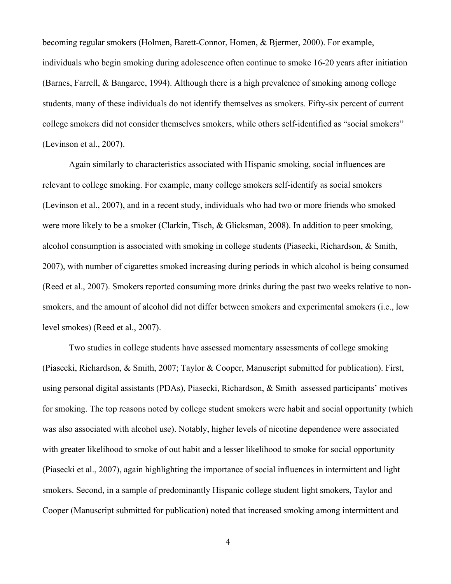becoming regular smokers (Holmen, Barett-Connor, Homen, & Bjermer, 2000). For example, individuals who begin smoking during adolescence often continue to smoke 16-20 years after initiation (Barnes, Farrell, & Bangaree, 1994). Although there is a high prevalence of smoking among college students, many of these individuals do not identify themselves as smokers. Fifty-six percent of current college smokers did not consider themselves smokers, while others self-identified as "social smokers" (Levinson et al., 2007).

Again similarly to characteristics associated with Hispanic smoking, social influences are relevant to college smoking. For example, many college smokers self-identify as social smokers (Levinson et al., 2007), and in a recent study, individuals who had two or more friends who smoked were more likely to be a smoker (Clarkin, Tisch, & Glicksman, 2008). In addition to peer smoking, alcohol consumption is associated with smoking in college students (Piasecki, Richardson, & Smith, 2007), with number of cigarettes smoked increasing during periods in which alcohol is being consumed (Reed et al., 2007). Smokers reported consuming more drinks during the past two weeks relative to nonsmokers, and the amount of alcohol did not differ between smokers and experimental smokers (i.e., low level smokes) (Reed et al., 2007).

Two studies in college students have assessed momentary assessments of college smoking (Piasecki, Richardson, & Smith, 2007; Taylor & Cooper, Manuscript submitted for publication). First, using personal digital assistants (PDAs), Piasecki, Richardson, & Smith assessed participants' motives for smoking. The top reasons noted by college student smokers were habit and social opportunity (which was also associated with alcohol use). Notably, higher levels of nicotine dependence were associated with greater likelihood to smoke of out habit and a lesser likelihood to smoke for social opportunity (Piasecki et al., 2007), again highlighting the importance of social influences in intermittent and light smokers. Second, in a sample of predominantly Hispanic college student light smokers, Taylor and Cooper (Manuscript submitted for publication) noted that increased smoking among intermittent and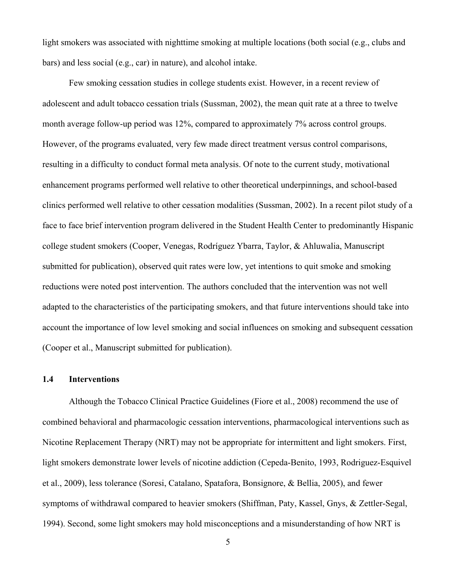light smokers was associated with nighttime smoking at multiple locations (both social (e.g., clubs and bars) and less social (e.g., car) in nature), and alcohol intake.

Few smoking cessation studies in college students exist. However, in a recent review of adolescent and adult tobacco cessation trials (Sussman, 2002), the mean quit rate at a three to twelve month average follow-up period was 12%, compared to approximately 7% across control groups. However, of the programs evaluated, very few made direct treatment versus control comparisons, resulting in a difficulty to conduct formal meta analysis. Of note to the current study, motivational enhancement programs performed well relative to other theoretical underpinnings, and school-based clinics performed well relative to other cessation modalities (Sussman, 2002). In a recent pilot study of a face to face brief intervention program delivered in the Student Health Center to predominantly Hispanic college student smokers (Cooper, Venegas, Rodríguez Ybarra, Taylor, & Ahluwalia, Manuscript submitted for publication), observed quit rates were low, yet intentions to quit smoke and smoking reductions were noted post intervention. The authors concluded that the intervention was not well adapted to the characteristics of the participating smokers, and that future interventions should take into account the importance of low level smoking and social influences on smoking and subsequent cessation (Cooper et al., Manuscript submitted for publication).

#### **1.4 Interventions**

Although the Tobacco Clinical Practice Guidelines (Fiore et al., 2008) recommend the use of combined behavioral and pharmacologic cessation interventions, pharmacological interventions such as Nicotine Replacement Therapy (NRT) may not be appropriate for intermittent and light smokers. First, light smokers demonstrate lower levels of nicotine addiction (Cepeda-Benito, 1993, Rodriguez-Esquivel et al., 2009), less tolerance (Soresi, Catalano, Spatafora, Bonsignore, & Bellia, 2005), and fewer symptoms of withdrawal compared to heavier smokers (Shiffman, Paty, Kassel, Gnys, & Zettler-Segal, 1994). Second, some light smokers may hold misconceptions and a misunderstanding of how NRT is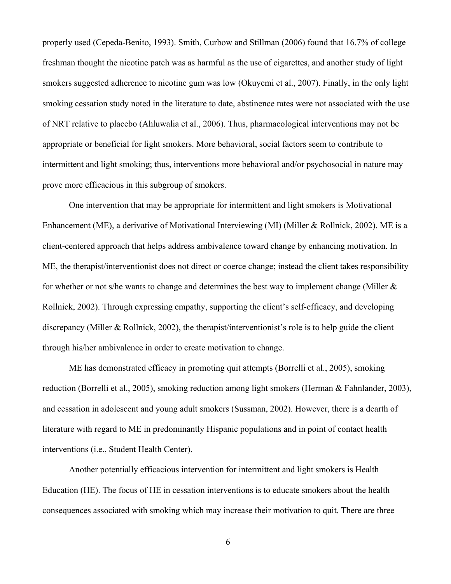properly used (Cepeda-Benito, 1993). Smith, Curbow and Stillman (2006) found that 16.7% of college freshman thought the nicotine patch was as harmful as the use of cigarettes, and another study of light smokers suggested adherence to nicotine gum was low (Okuyemi et al., 2007). Finally, in the only light smoking cessation study noted in the literature to date, abstinence rates were not associated with the use of NRT relative to placebo (Ahluwalia et al., 2006). Thus, pharmacological interventions may not be appropriate or beneficial for light smokers. More behavioral, social factors seem to contribute to intermittent and light smoking; thus, interventions more behavioral and/or psychosocial in nature may prove more efficacious in this subgroup of smokers.

One intervention that may be appropriate for intermittent and light smokers is Motivational Enhancement (ME), a derivative of Motivational Interviewing (MI) (Miller & Rollnick, 2002). ME is a client-centered approach that helps address ambivalence toward change by enhancing motivation. In ME, the therapist/interventionist does not direct or coerce change; instead the client takes responsibility for whether or not s/he wants to change and determines the best way to implement change (Miller & Rollnick, 2002). Through expressing empathy, supporting the client's self-efficacy, and developing discrepancy (Miller & Rollnick, 2002), the therapist/interventionist's role is to help guide the client through his/her ambivalence in order to create motivation to change.

ME has demonstrated efficacy in promoting quit attempts (Borrelli et al., 2005), smoking reduction (Borrelli et al., 2005), smoking reduction among light smokers (Herman & Fahnlander, 2003), and cessation in adolescent and young adult smokers (Sussman, 2002). However, there is a dearth of literature with regard to ME in predominantly Hispanic populations and in point of contact health interventions (i.e., Student Health Center).

Another potentially efficacious intervention for intermittent and light smokers is Health Education (HE). The focus of HE in cessation interventions is to educate smokers about the health consequences associated with smoking which may increase their motivation to quit. There are three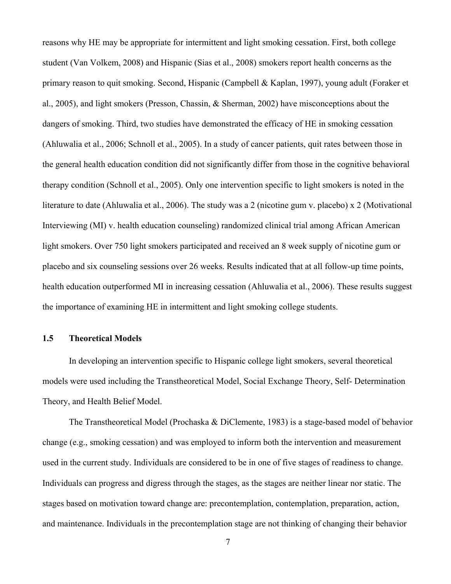reasons why HE may be appropriate for intermittent and light smoking cessation. First, both college student (Van Volkem, 2008) and Hispanic (Sias et al., 2008) smokers report health concerns as the primary reason to quit smoking. Second, Hispanic (Campbell & Kaplan, 1997), young adult (Foraker et al., 2005), and light smokers (Presson, Chassin, & Sherman, 2002) have misconceptions about the dangers of smoking. Third, two studies have demonstrated the efficacy of HE in smoking cessation (Ahluwalia et al., 2006; Schnoll et al., 2005). In a study of cancer patients, quit rates between those in the general health education condition did not significantly differ from those in the cognitive behavioral therapy condition (Schnoll et al., 2005). Only one intervention specific to light smokers is noted in the literature to date (Ahluwalia et al., 2006). The study was a 2 (nicotine gum v. placebo) x 2 (Motivational Interviewing (MI) v. health education counseling) randomized clinical trial among African American light smokers. Over 750 light smokers participated and received an 8 week supply of nicotine gum or placebo and six counseling sessions over 26 weeks. Results indicated that at all follow-up time points, health education outperformed MI in increasing cessation (Ahluwalia et al., 2006). These results suggest the importance of examining HE in intermittent and light smoking college students.

#### **1.5 Theoretical Models**

In developing an intervention specific to Hispanic college light smokers, several theoretical models were used including the Transtheoretical Model, Social Exchange Theory, Self- Determination Theory, and Health Belief Model.

The Transtheoretical Model (Prochaska & DiClemente, 1983) is a stage-based model of behavior change (e.g., smoking cessation) and was employed to inform both the intervention and measurement used in the current study. Individuals are considered to be in one of five stages of readiness to change. Individuals can progress and digress through the stages, as the stages are neither linear nor static. The stages based on motivation toward change are: precontemplation, contemplation, preparation, action, and maintenance. Individuals in the precontemplation stage are not thinking of changing their behavior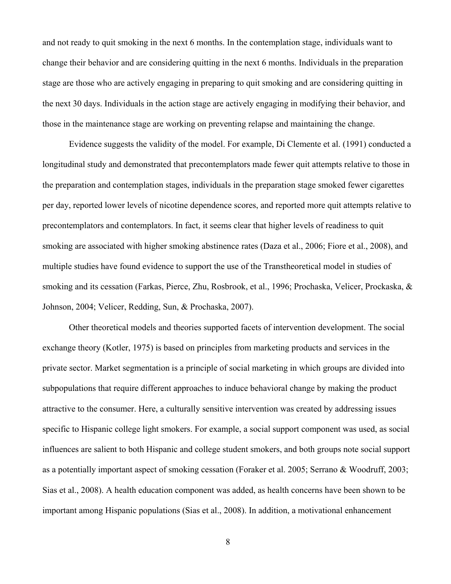and not ready to quit smoking in the next 6 months. In the contemplation stage, individuals want to change their behavior and are considering quitting in the next 6 months. Individuals in the preparation stage are those who are actively engaging in preparing to quit smoking and are considering quitting in the next 30 days. Individuals in the action stage are actively engaging in modifying their behavior, and those in the maintenance stage are working on preventing relapse and maintaining the change.

Evidence suggests the validity of the model. For example, Di Clemente et al. (1991) conducted a longitudinal study and demonstrated that precontemplators made fewer quit attempts relative to those in the preparation and contemplation stages, individuals in the preparation stage smoked fewer cigarettes per day, reported lower levels of nicotine dependence scores, and reported more quit attempts relative to precontemplators and contemplators. In fact, it seems clear that higher levels of readiness to quit smoking are associated with higher smoking abstinence rates (Daza et al., 2006; Fiore et al., 2008), and multiple studies have found evidence to support the use of the Transtheoretical model in studies of smoking and its cessation (Farkas, Pierce, Zhu, Rosbrook, et al., 1996; Prochaska, Velicer, Prockaska, & Johnson, 2004; Velicer, Redding, Sun, & Prochaska, 2007).

Other theoretical models and theories supported facets of intervention development. The social exchange theory (Kotler, 1975) is based on principles from marketing products and services in the private sector. Market segmentation is a principle of social marketing in which groups are divided into subpopulations that require different approaches to induce behavioral change by making the product attractive to the consumer. Here, a culturally sensitive intervention was created by addressing issues specific to Hispanic college light smokers. For example, a social support component was used, as social influences are salient to both Hispanic and college student smokers, and both groups note social support as a potentially important aspect of smoking cessation (Foraker et al. 2005; Serrano & Woodruff, 2003; Sias et al., 2008). A health education component was added, as health concerns have been shown to be important among Hispanic populations (Sias et al., 2008). In addition, a motivational enhancement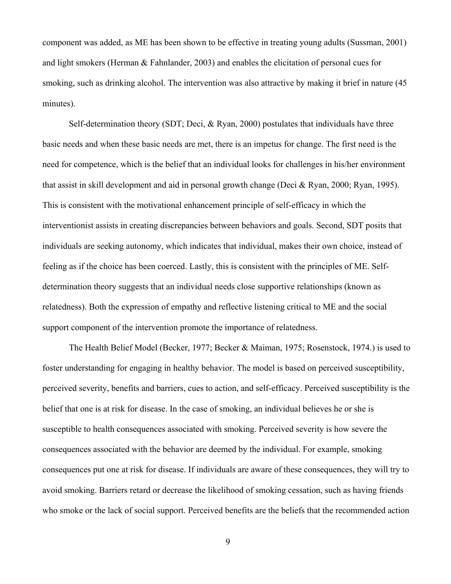component was added, as ME has been shown to be effective in treating young adults (Sussman, 2001) and light smokers (Herman & Fahnlander, 2003) and enables the elicitation of personal cues for smoking, such as drinking alcohol. The intervention was also attractive by making it brief in nature (45 minutes).

Self-determination theory (SDT; Deci, & Ryan, 2000) postulates that individuals have three basic needs and when these basic needs are met, there is an impetus for change. The first need is the need for competence, which is the belief that an individual looks for challenges in his/her environment that assist in skill development and aid in personal growth change (Deci & Ryan, 2000; Ryan, 1995). This is consistent with the motivational enhancement principle of self-efficacy in which the interventionist assists in creating discrepancies between behaviors and goals. Second, SDT posits that individuals are seeking autonomy, which indicates that individual, makes their own choice, instead of feeling as if the choice has been coerced. Lastly, this is consistent with the principles of ME. Selfdetermination theory suggests that an individual needs close supportive relationships (known as relatedness). Both the expression of empathy and reflective listening critical to ME and the social support component of the intervention promote the importance of relatedness.

The Health Belief Model (Becker, 1977; Becker & Maiman, 1975; Rosenstock, 1974.) is used to foster understanding for engaging in healthy behavior. The model is based on perceived susceptibility, perceived severity, benefits and barriers, cues to action, and self-efficacy. Perceived susceptibility is the belief that one is at risk for disease. In the case of smoking, an individual believes he or she is susceptible to health consequences associated with smoking. Perceived severity is how severe the consequences associated with the behavior are deemed by the individual. For example, smoking consequences put one at risk for disease. If individuals are aware of these consequences, they will try to avoid smoking. Barriers retard or decrease the likelihood of smoking cessation, such as having friends who smoke or the lack of social support. Perceived benefits are the beliefs that the recommended action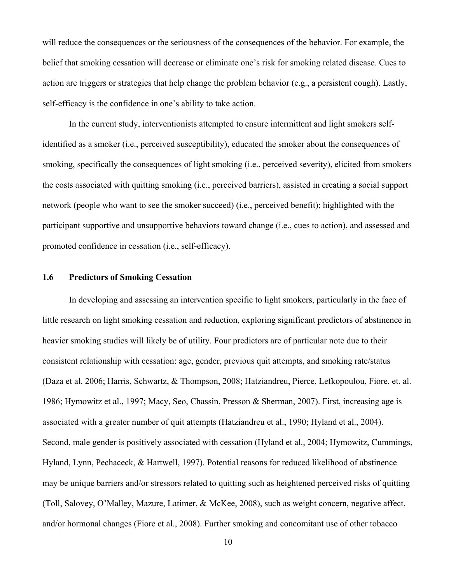will reduce the consequences or the seriousness of the consequences of the behavior. For example, the belief that smoking cessation will decrease or eliminate one's risk for smoking related disease. Cues to action are triggers or strategies that help change the problem behavior (e.g., a persistent cough). Lastly, self-efficacy is the confidence in one's ability to take action.

In the current study, interventionists attempted to ensure intermittent and light smokers selfidentified as a smoker (i.e., perceived susceptibility), educated the smoker about the consequences of smoking, specifically the consequences of light smoking (i.e., perceived severity), elicited from smokers the costs associated with quitting smoking (i.e., perceived barriers), assisted in creating a social support network (people who want to see the smoker succeed) (i.e., perceived benefit); highlighted with the participant supportive and unsupportive behaviors toward change (i.e., cues to action), and assessed and promoted confidence in cessation (i.e., self-efficacy).

#### **1.6 Predictors of Smoking Cessation**

In developing and assessing an intervention specific to light smokers, particularly in the face of little research on light smoking cessation and reduction, exploring significant predictors of abstinence in heavier smoking studies will likely be of utility. Four predictors are of particular note due to their consistent relationship with cessation: age, gender, previous quit attempts, and smoking rate/status (Daza et al. 2006; Harris, Schwartz, & Thompson, 2008; Hatziandreu, Pierce, Lefkopoulou, Fiore, et. al. 1986; Hymowitz et al., 1997; Macy, Seo, Chassin, Presson & Sherman, 2007). First, increasing age is associated with a greater number of quit attempts (Hatziandreu et al., 1990; Hyland et al., 2004). Second, male gender is positively associated with cessation (Hyland et al., 2004; Hymowitz, Cummings, Hyland, Lynn, Pechaceck, & Hartwell, 1997). Potential reasons for reduced likelihood of abstinence may be unique barriers and/or stressors related to quitting such as heightened perceived risks of quitting (Toll, Salovey, O'Malley, Mazure, Latimer, & McKee, 2008), such as weight concern, negative affect, and/or hormonal changes (Fiore et al., 2008). Further smoking and concomitant use of other tobacco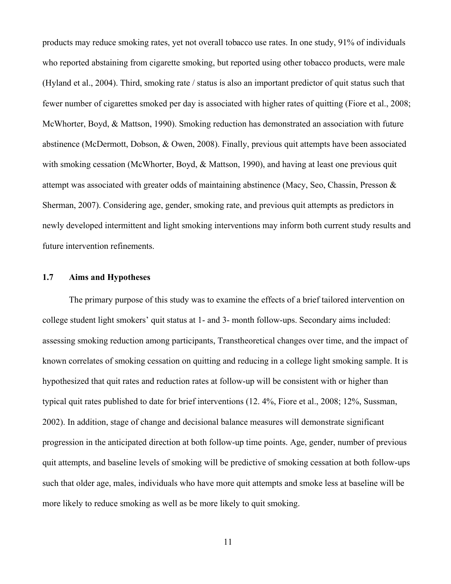products may reduce smoking rates, yet not overall tobacco use rates. In one study, 91% of individuals who reported abstaining from cigarette smoking, but reported using other tobacco products, were male (Hyland et al., 2004). Third, smoking rate / status is also an important predictor of quit status such that fewer number of cigarettes smoked per day is associated with higher rates of quitting (Fiore et al., 2008; McWhorter, Boyd, & Mattson, 1990). Smoking reduction has demonstrated an association with future abstinence (McDermott, Dobson, & Owen, 2008). Finally, previous quit attempts have been associated with smoking cessation (McWhorter, Boyd, & Mattson, 1990), and having at least one previous quit attempt was associated with greater odds of maintaining abstinence (Macy, Seo, Chassin, Presson  $\&$ Sherman, 2007). Considering age, gender, smoking rate, and previous quit attempts as predictors in newly developed intermittent and light smoking interventions may inform both current study results and future intervention refinements.

#### **1.7 Aims and Hypotheses**

The primary purpose of this study was to examine the effects of a brief tailored intervention on college student light smokers' quit status at 1- and 3- month follow-ups. Secondary aims included: assessing smoking reduction among participants, Transtheoretical changes over time, and the impact of known correlates of smoking cessation on quitting and reducing in a college light smoking sample. It is hypothesized that quit rates and reduction rates at follow-up will be consistent with or higher than typical quit rates published to date for brief interventions (12. 4%, Fiore et al., 2008; 12%, Sussman, 2002). In addition, stage of change and decisional balance measures will demonstrate significant progression in the anticipated direction at both follow-up time points. Age, gender, number of previous quit attempts, and baseline levels of smoking will be predictive of smoking cessation at both follow-ups such that older age, males, individuals who have more quit attempts and smoke less at baseline will be more likely to reduce smoking as well as be more likely to quit smoking.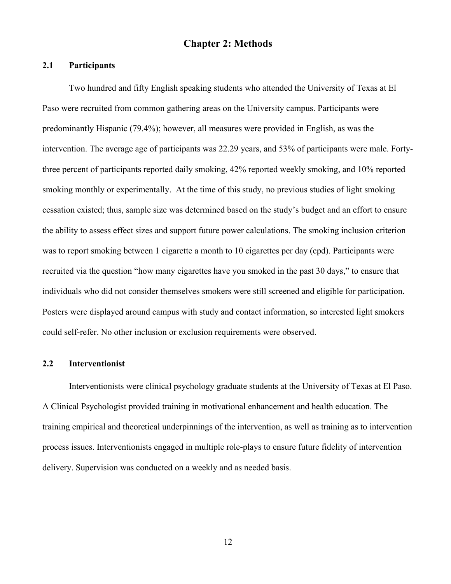## **Chapter 2: Methods**

#### **2.1 Participants**

Two hundred and fifty English speaking students who attended the University of Texas at El Paso were recruited from common gathering areas on the University campus. Participants were predominantly Hispanic (79.4%); however, all measures were provided in English, as was the intervention. The average age of participants was 22.29 years, and 53% of participants were male. Fortythree percent of participants reported daily smoking, 42% reported weekly smoking, and 10% reported smoking monthly or experimentally. At the time of this study, no previous studies of light smoking cessation existed; thus, sample size was determined based on the study's budget and an effort to ensure the ability to assess effect sizes and support future power calculations. The smoking inclusion criterion was to report smoking between 1 cigarette a month to 10 cigarettes per day (cpd). Participants were recruited via the question "how many cigarettes have you smoked in the past 30 days," to ensure that individuals who did not consider themselves smokers were still screened and eligible for participation. Posters were displayed around campus with study and contact information, so interested light smokers could self-refer. No other inclusion or exclusion requirements were observed.

#### **2.2 Interventionist**

Interventionists were clinical psychology graduate students at the University of Texas at El Paso. A Clinical Psychologist provided training in motivational enhancement and health education. The training empirical and theoretical underpinnings of the intervention, as well as training as to intervention process issues. Interventionists engaged in multiple role-plays to ensure future fidelity of intervention delivery. Supervision was conducted on a weekly and as needed basis.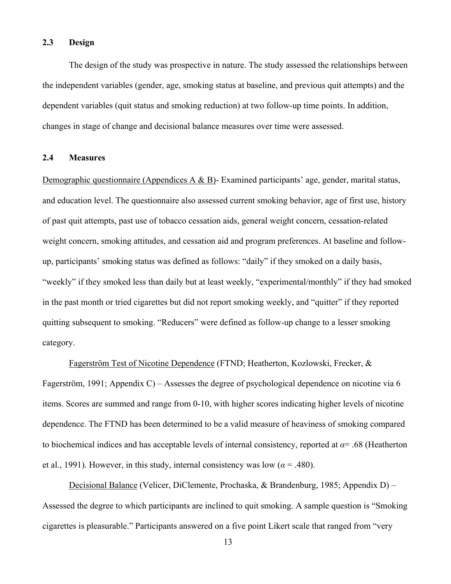#### **2.3 Design**

The design of the study was prospective in nature. The study assessed the relationships between the independent variables (gender, age, smoking status at baseline, and previous quit attempts) and the dependent variables (quit status and smoking reduction) at two follow-up time points. In addition, changes in stage of change and decisional balance measures over time were assessed.

#### **2.4 Measures**

Demographic questionnaire (Appendices A & B)- Examined participants' age, gender, marital status, and education level. The questionnaire also assessed current smoking behavior, age of first use, history of past quit attempts, past use of tobacco cessation aids, general weight concern, cessation-related weight concern, smoking attitudes, and cessation aid and program preferences. At baseline and followup, participants' smoking status was defined as follows: "daily" if they smoked on a daily basis, "weekly" if they smoked less than daily but at least weekly, "experimental/monthly" if they had smoked in the past month or tried cigarettes but did not report smoking weekly, and "quitter" if they reported quitting subsequent to smoking. "Reducers" were defined as follow-up change to a lesser smoking category.

Fagerström Test of Nicotine Dependence (FTND; Heatherton, Kozlowski, Frecker, & Fagerström, 1991; Appendix C) – Assesses the degree of psychological dependence on nicotine via 6 items. Scores are summed and range from 0-10, with higher scores indicating higher levels of nicotine dependence. The FTND has been determined to be a valid measure of heaviness of smoking compared to biochemical indices and has acceptable levels of internal consistency, reported at  $\alpha$ = .68 (Heatherton et al., 1991). However, in this study, internal consistency was low ( $\alpha$  = .480).

Decisional Balance (Velicer, DiClemente, Prochaska, & Brandenburg, 1985; Appendix D) – Assessed the degree to which participants are inclined to quit smoking. A sample question is "Smoking cigarettes is pleasurable." Participants answered on a five point Likert scale that ranged from "very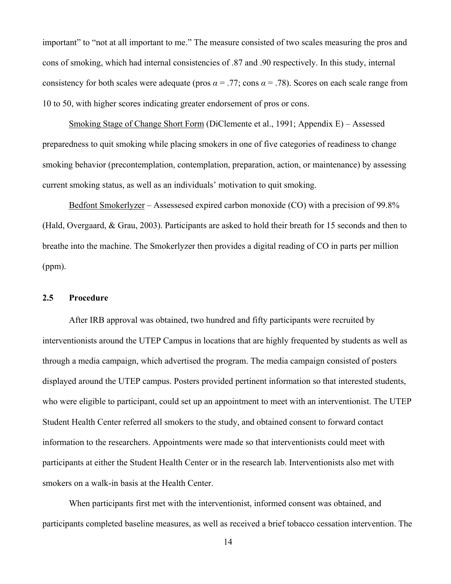important" to "not at all important to me." The measure consisted of two scales measuring the pros and cons of smoking, which had internal consistencies of .87 and .90 respectively. In this study, internal consistency for both scales were adequate (pros  $\alpha = .77$ ; cons  $\alpha = .78$ ). Scores on each scale range from 10 to 50, with higher scores indicating greater endorsement of pros or cons.

Smoking Stage of Change Short Form (DiClemente et al., 1991; Appendix E) – Assessed preparedness to quit smoking while placing smokers in one of five categories of readiness to change smoking behavior (precontemplation, contemplation, preparation, action, or maintenance) by assessing current smoking status, as well as an individuals' motivation to quit smoking.

Bedfont Smokerlyzer – Assessesed expired carbon monoxide (CO) with a precision of 99.8% (Hald, Overgaard, & Grau, 2003). Participants are asked to hold their breath for 15 seconds and then to breathe into the machine. The Smokerlyzer then provides a digital reading of CO in parts per million (ppm).

#### **2.5 Procedure**

After IRB approval was obtained, two hundred and fifty participants were recruited by interventionists around the UTEP Campus in locations that are highly frequented by students as well as through a media campaign, which advertised the program. The media campaign consisted of posters displayed around the UTEP campus. Posters provided pertinent information so that interested students, who were eligible to participant, could set up an appointment to meet with an interventionist. The UTEP Student Health Center referred all smokers to the study, and obtained consent to forward contact information to the researchers. Appointments were made so that interventionists could meet with participants at either the Student Health Center or in the research lab. Interventionists also met with smokers on a walk-in basis at the Health Center.

When participants first met with the interventionist, informed consent was obtained, and participants completed baseline measures, as well as received a brief tobacco cessation intervention. The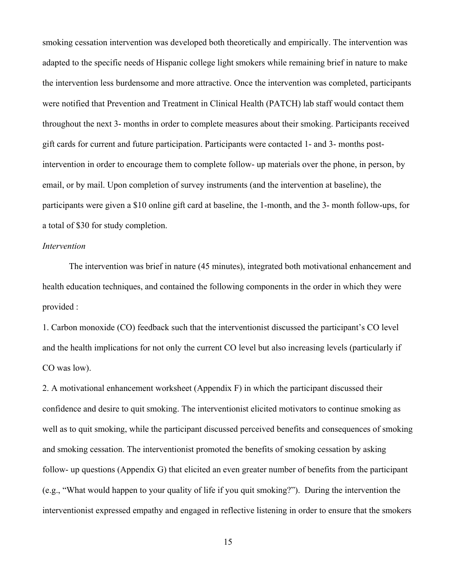smoking cessation intervention was developed both theoretically and empirically. The intervention was adapted to the specific needs of Hispanic college light smokers while remaining brief in nature to make the intervention less burdensome and more attractive. Once the intervention was completed, participants were notified that Prevention and Treatment in Clinical Health (PATCH) lab staff would contact them throughout the next 3- months in order to complete measures about their smoking. Participants received gift cards for current and future participation. Participants were contacted 1- and 3- months postintervention in order to encourage them to complete follow- up materials over the phone, in person, by email, or by mail. Upon completion of survey instruments (and the intervention at baseline), the participants were given a \$10 online gift card at baseline, the 1-month, and the 3- month follow-ups, for a total of \$30 for study completion.

#### *Intervention*

The intervention was brief in nature (45 minutes), integrated both motivational enhancement and health education techniques, and contained the following components in the order in which they were provided :

1. Carbon monoxide (CO) feedback such that the interventionist discussed the participant's CO level and the health implications for not only the current CO level but also increasing levels (particularly if CO was low).

2. A motivational enhancement worksheet (Appendix F) in which the participant discussed their confidence and desire to quit smoking. The interventionist elicited motivators to continue smoking as well as to quit smoking, while the participant discussed perceived benefits and consequences of smoking and smoking cessation. The interventionist promoted the benefits of smoking cessation by asking follow- up questions (Appendix G) that elicited an even greater number of benefits from the participant (e.g., "What would happen to your quality of life if you quit smoking?"). During the intervention the interventionist expressed empathy and engaged in reflective listening in order to ensure that the smokers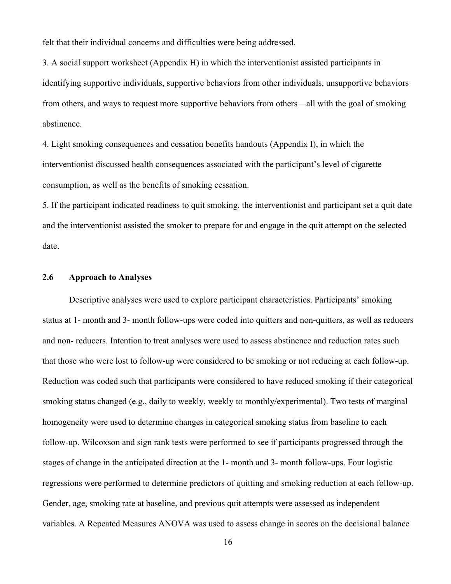felt that their individual concerns and difficulties were being addressed.

3. A social support worksheet (Appendix H) in which the interventionist assisted participants in identifying supportive individuals, supportive behaviors from other individuals, unsupportive behaviors from others, and ways to request more supportive behaviors from others—all with the goal of smoking abstinence.

4. Light smoking consequences and cessation benefits handouts (Appendix I), in which the interventionist discussed health consequences associated with the participant's level of cigarette consumption, as well as the benefits of smoking cessation.

5. If the participant indicated readiness to quit smoking, the interventionist and participant set a quit date and the interventionist assisted the smoker to prepare for and engage in the quit attempt on the selected date.

#### **2.6 Approach to Analyses**

Descriptive analyses were used to explore participant characteristics. Participants' smoking status at 1- month and 3- month follow-ups were coded into quitters and non-quitters, as well as reducers and non- reducers. Intention to treat analyses were used to assess abstinence and reduction rates such that those who were lost to follow-up were considered to be smoking or not reducing at each follow-up. Reduction was coded such that participants were considered to have reduced smoking if their categorical smoking status changed (e.g., daily to weekly, weekly to monthly/experimental). Two tests of marginal homogeneity were used to determine changes in categorical smoking status from baseline to each follow-up. Wilcoxson and sign rank tests were performed to see if participants progressed through the stages of change in the anticipated direction at the 1- month and 3- month follow-ups. Four logistic regressions were performed to determine predictors of quitting and smoking reduction at each follow-up. Gender, age, smoking rate at baseline, and previous quit attempts were assessed as independent variables. A Repeated Measures ANOVA was used to assess change in scores on the decisional balance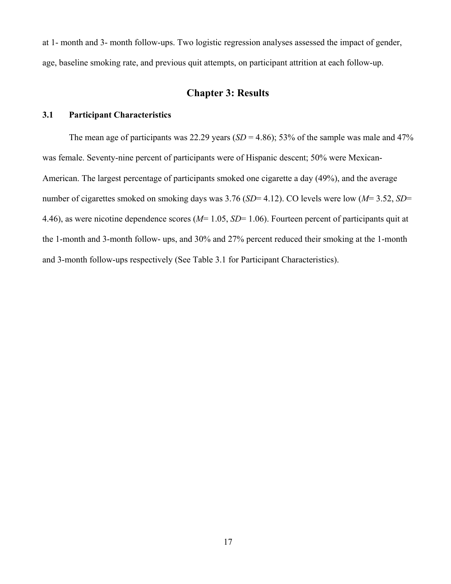at 1- month and 3- month follow-ups. Two logistic regression analyses assessed the impact of gender, age, baseline smoking rate, and previous quit attempts, on participant attrition at each follow-up.

## **Chapter 3: Results**

#### **3.1 Participant Characteristics**

The mean age of participants was 22.29 years  $(SD = 4.86)$ ; 53% of the sample was male and 47% was female. Seventy-nine percent of participants were of Hispanic descent; 50% were Mexican-American. The largest percentage of participants smoked one cigarette a day (49%), and the average number of cigarettes smoked on smoking days was 3.76 (*SD*= 4.12). CO levels were low (*M*= 3.52, *SD*= 4.46), as were nicotine dependence scores (*M*= 1.05, *SD*= 1.06). Fourteen percent of participants quit at the 1-month and 3-month follow- ups, and 30% and 27% percent reduced their smoking at the 1-month and 3-month follow-ups respectively (See Table 3.1 for Participant Characteristics).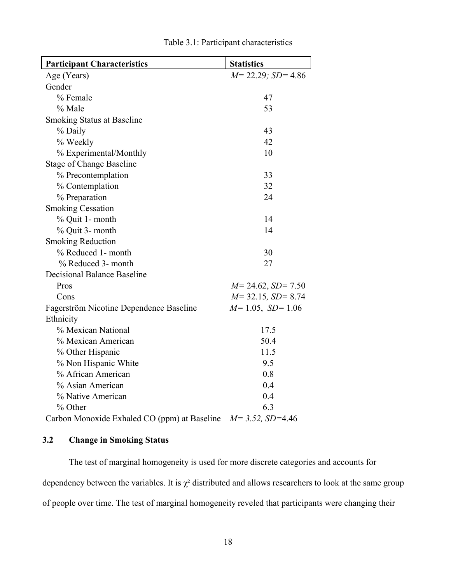| <b>Participant Characteristics</b>             | <b>Statistics</b>     |
|------------------------------------------------|-----------------------|
| Age (Years)                                    | $M=22.29; SD=4.86$    |
| Gender                                         |                       |
| % Female                                       | 47                    |
| % Male                                         | 53                    |
| <b>Smoking Status at Baseline</b>              |                       |
| % Daily                                        | 43                    |
| % Weekly                                       | 42                    |
| % Experimental/Monthly                         | 10                    |
| <b>Stage of Change Baseline</b>                |                       |
| % Precontemplation                             | 33                    |
| % Contemplation                                | 32                    |
| % Preparation                                  | 24                    |
| <b>Smoking Cessation</b>                       |                       |
| % Quit 1- month                                | 14                    |
| % Quit 3- month                                | 14                    |
| <b>Smoking Reduction</b>                       |                       |
| % Reduced 1- month                             | 30                    |
| % Reduced 3- month                             | 27                    |
| <b>Decisional Balance Baseline</b>             |                       |
| Pros                                           | $M=24.62, SD=7.50$    |
| Cons                                           | $M=32.15$ , $SD=8.74$ |
| <b>Fagerström Nicotine Dependence Baseline</b> | $M=1.05$ , $SD=1.06$  |
| Ethnicity                                      |                       |
| % Mexican National                             | 17.5                  |
| % Mexican American                             | 50.4                  |
| % Other Hispanic                               | 11.5                  |
| % Non Hispanic White                           | 9.5                   |
| % African American                             | 0.8                   |
| % Asian American                               | 0.4                   |
| % Native American                              | 0.4                   |
| % Other                                        | 6.3                   |
| Carbon Monoxide Exhaled CO (ppm) at Baseline   | $M=$ 3.52, SD=4.46    |

Table 3.1: Participant characteristics

## **3.2 Change in Smoking Status**

The test of marginal homogeneity is used for more discrete categories and accounts for dependency between the variables. It is  $\chi^2$  distributed and allows researchers to look at the same group of people over time. The test of marginal homogeneity reveled that participants were changing their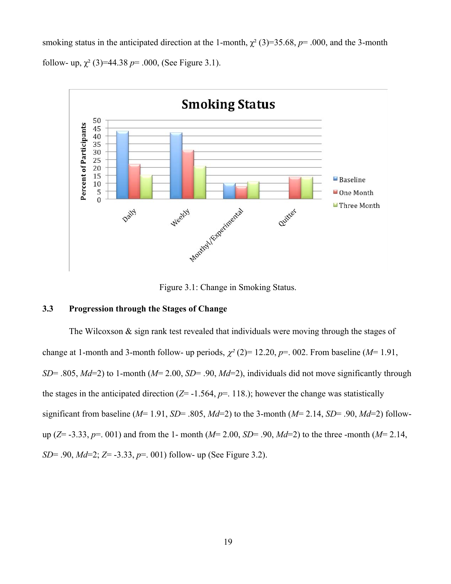smoking status in the anticipated direction at the 1-month,  $\chi^2$  (3)=35.68, *p*= .000, and the 3-month follow- up,  $\chi^2$  (3)=44.38 *p*= .000, (See Figure 3.1).



Figure 3.1: Change in Smoking Status.

#### **3.3 Progression through the Stages of Change**

The Wilcoxson & sign rank test revealed that individuals were moving through the stages of change at 1-month and 3-month follow- up periods,  $\chi^2$  (2)= 12.20, *p*=. 002. From baseline (*M*= 1.91, *SD*= .805, *Md*=2) to 1-month (*M*= 2.00, *SD*= .90, *Md*=2), individuals did not move significantly through the stages in the anticipated direction  $(Z= -1.564, p= 118)$ ; however the change was statistically significant from baseline (*M*= 1.91, *SD*= .805, *Md*=2) to the 3-month (*M*= 2.14, *SD*= .90, *Md*=2) followup (*Z*= -3.33, *p*=. 001) and from the 1- month (*M*= 2.00, *SD*= .90, *Md*=2) to the three -month (*M*= 2.14, *SD*= .90, *Md*=2; *Z*= -3.33, *p*=. 001) follow- up (See Figure 3.2).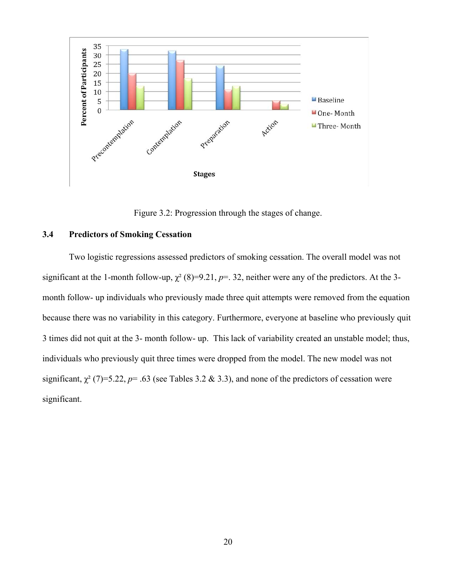

Figure 3.2: Progression through the stages of change.

#### **3.4 Predictors of Smoking Cessation**

Two logistic regressions assessed predictors of smoking cessation. The overall model was not significant at the 1-month follow-up,  $\chi^2$  (8)=9.21, *p*=. 32, neither were any of the predictors. At the 3month follow- up individuals who previously made three quit attempts were removed from the equation because there was no variability in this category. Furthermore, everyone at baseline who previously quit 3 times did not quit at the 3- month follow- up. This lack of variability created an unstable model; thus, individuals who previously quit three times were dropped from the model. The new model was not significant,  $\chi^2$  (7)=5.22, *p*= .63 (see Tables 3.2 & 3.3), and none of the predictors of cessation were significant.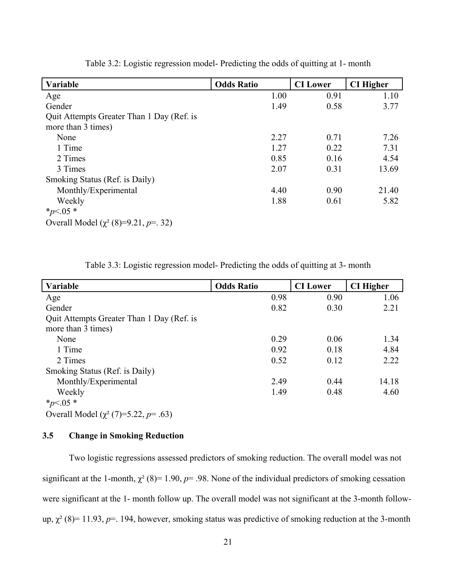| Variable                                  | <b>Odds Ratio</b> | <b>CI</b> Lower | <b>CI</b> Higher |
|-------------------------------------------|-------------------|-----------------|------------------|
| Age                                       | 1.00              | 0.91            | 1.10             |
| Gender                                    | 1.49              | 0.58            | 3.77             |
| Quit Attempts Greater Than 1 Day (Ref. is |                   |                 |                  |
| more than 3 times)                        |                   |                 |                  |
| None                                      | 2.27              | 0.71            | 7.26             |
| 1 Time                                    | 1.27              | 0.22            | 7.31             |
| 2 Times                                   | 0.85              | 0.16            | 4.54             |
| 3 Times                                   | 2.07              | 0.31            | 13.69            |
| Smoking Status (Ref. is Daily)            |                   |                 |                  |
| Monthly/Experimental                      | 4.40              | 0.90            | 21.40            |
| Weekly                                    | 1.88              | 0.61            | 5.82             |
| * $p<0.05$ *                              |                   |                 |                  |
| Overall Model $(\chi^2(8)=9.21, p=.32)$   |                   |                 |                  |

Table 3.2: Logistic regression model- Predicting the odds of quitting at 1- month

Table 3.3: Logistic regression model- Predicting the odds of quitting at 3- month

| Variable                                  | <b>Odds Ratio</b> | <b>CI</b> Lower | <b>CI</b> Higher |
|-------------------------------------------|-------------------|-----------------|------------------|
| Age                                       | 0.98              | 0.90            | 1.06             |
| Gender                                    | 0.82              | 0.30            | 2.21             |
| Quit Attempts Greater Than 1 Day (Ref. is |                   |                 |                  |
| more than 3 times)                        |                   |                 |                  |
| None                                      | 0.29              | 0.06            | 1.34             |
| 1 Time                                    | 0.92              | 0.18            | 4.84             |
| 2 Times                                   | 0.52              | 0.12            | 2.22             |
| Smoking Status (Ref. is Daily)            |                   |                 |                  |
| Monthly/Experimental                      | 2.49              | 0.44            | 14.18            |
| Weekly                                    | 1.49              | 0.48            | 4.60             |
| $*_{p<.05} *$                             |                   |                 |                  |

Overall Model  $(\chi^2 (7)=5.22, p=.63)$ 

## **3.5 Change in Smoking Reduction**

Two logistic regressions assessed predictors of smoking reduction. The overall model was not significant at the 1-month,  $\chi^2$  (8)= 1.90, *p*= .98. None of the individual predictors of smoking cessation were significant at the 1- month follow up. The overall model was not significant at the 3-month followup,  $\chi^2$  (8)= 11.93, *p*=. 194, however, smoking status was predictive of smoking reduction at the 3-month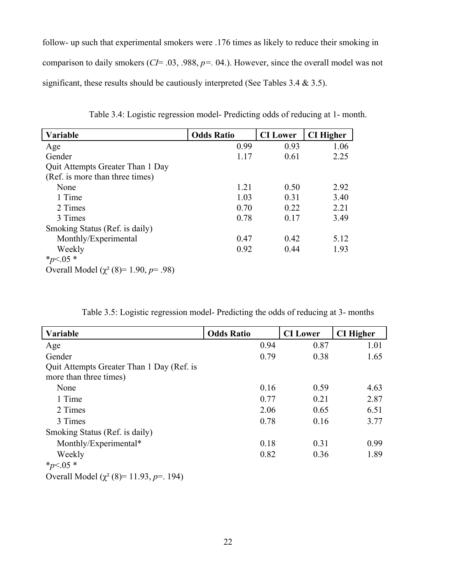follow- up such that experimental smokers were .176 times as likely to reduce their smoking in comparison to daily smokers (*CI*= .03, .988, *p=.* 04.). However, since the overall model was not significant, these results should be cautiously interpreted (See Tables 3.4 & 3.5).

| Variable                                            | <b>Odds Ratio</b> | <b>CI</b> Lower | <b>CI</b> Higher |
|-----------------------------------------------------|-------------------|-----------------|------------------|
| Age                                                 | 0.99              | 0.93            | 1.06             |
| Gender                                              | 1.17              | 0.61            | 2.25             |
| Quit Attempts Greater Than 1 Day                    |                   |                 |                  |
| (Ref. is more than three times)                     |                   |                 |                  |
| None                                                | 1.21              | 0.50            | 292              |
| 1 Time                                              | 1.03              | 0.31            | 3.40             |
| 2 Times                                             | 0.70              | 0.22            | 2.21             |
| 3 Times                                             | 0.78              | 0.17            | 3.49             |
| Smoking Status (Ref. is daily)                      |                   |                 |                  |
| Monthly/Experimental                                | 0.47              | 0.42            | 5.12             |
| Weekly                                              | 0.92              | 0.44            | 1.93             |
| * $p<0.05$ *                                        |                   |                 |                  |
| Overall Model ( $\chi^2$ (8)= 1.90, <i>p</i> = .98) |                   |                 |                  |

Table 3.4: Logistic regression model- Predicting odds of reducing at 1- month.

| Variable                                  | <b>Odds Ratio</b> | <b>CI</b> Lower | <b>CI</b> Higher |
|-------------------------------------------|-------------------|-----------------|------------------|
| Age                                       | 0.94              | 0.87            | 1.01             |
| Gender                                    | 0.79              | 0.38            | 1.65             |
| Quit Attempts Greater Than 1 Day (Ref. is |                   |                 |                  |
| more than three times)                    |                   |                 |                  |
| None                                      | 0.16              | 0.59            | 4.63             |
| 1 Time                                    | 0.77              | 0.21            | 2.87             |
| 2 Times                                   | 2.06              | 0.65            | 6.51             |
| 3 Times                                   | 0.78              | 0.16            | 3.77             |
| Smoking Status (Ref. is daily)            |                   |                 |                  |
| Monthly/Experimental*                     | 0.18              | 0.31            | 0.99             |
| Weekly                                    | 0.82              | 0.36            | 1.89             |
| * $p<0.05$ *                              |                   |                 |                  |
| Overall Model $(\chi^2(8)=11.93, p=.194)$ |                   |                 |                  |

Table 3.5: Logistic regression model- Predicting the odds of reducing at 3- months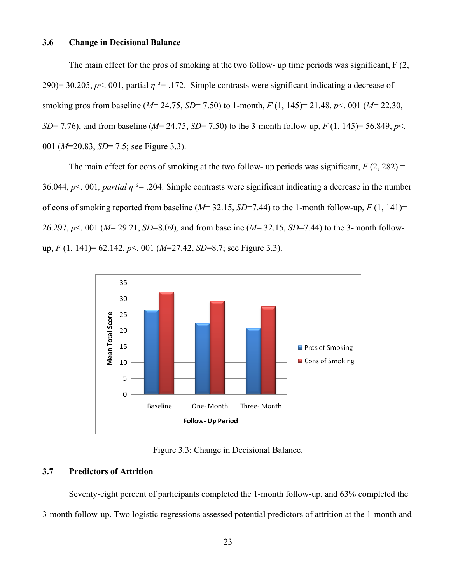#### **3.6 Change in Decisional Balance**

The main effect for the pros of smoking at the two follow- up time periods was significant, F (2, 290)= 30.205,  $p$ <. 001, partial  $\eta$ <sup>2</sup>= .172. Simple contrasts were significant indicating a decrease of smoking pros from baseline (*M*= 24.75, *SD*= 7.50) to 1-month, *F* (1, 145)= 21.48, *p*<. 001 (*M*= 22.30, *SD*= 7.76), and from baseline (*M*= 24.75, *SD*= 7.50) to the 3-month follow-up, *F* (1, 145)= 56.849, *p*<. 001 (*M*=20.83, *SD*= 7.5; see Figure 3.3).

The main effect for cons of smoking at the two follow- up periods was significant,  $F(2, 282) =$ 36.044,  $p$ <. 001, *partial*  $\eta$ <sup>2</sup>= .204. Simple contrasts were significant indicating a decrease in the number of cons of smoking reported from baseline ( $M=32.15$ ,  $SD=7.44$ ) to the 1-month follow-up,  $F(1, 141)=$ 26.297, *p*<. 001 (*M*= 29.21, *SD*=8.09)*,* and from baseline (*M*= 32.15, *SD*=7.44) to the 3-month followup, *F* (1, 141)= 62.142, *p*<. 001 (*M*=27.42, *SD*=8.7; see Figure 3.3).



Figure 3.3: Change in Decisional Balance.

#### **3.7 Predictors of Attrition**

Seventy-eight percent of participants completed the 1-month follow-up, and 63% completed the 3-month follow-up. Two logistic regressions assessed potential predictors of attrition at the 1-month and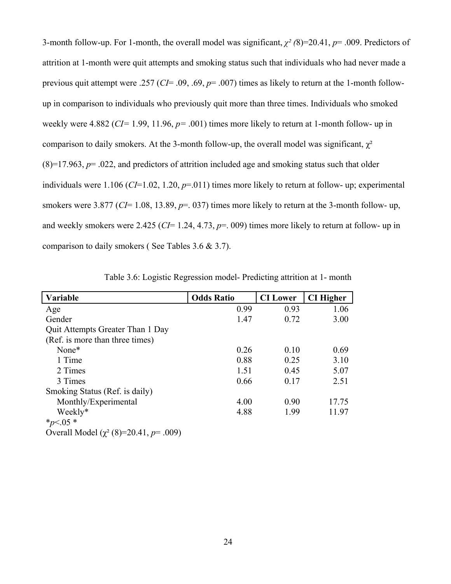3-month follow-up. For 1-month, the overall model was significant,  $\chi^2$  (8)=20.41, *p*= .009. Predictors of attrition at 1-month were quit attempts and smoking status such that individuals who had never made a previous quit attempt were .257 (*CI*= .09, .69, *p*= .007) times as likely to return at the 1-month followup in comparison to individuals who previously quit more than three times. Individuals who smoked weekly were 4.882 (*CI=* 1.99, 11.96, *p=* .001) times more likely to return at 1-month follow- up in comparison to daily smokers. At the 3-month follow-up, the overall model was significant,  $\gamma^2$ (8)=17.963, *p*= .022, and predictors of attrition included age and smoking status such that older individuals were 1.106 (*CI*=1.02, 1.20, *p*=.011) times more likely to return at follow- up; experimental smokers were 3.877 (*CI*= 1.08, 13.89, *p*=. 037) times more likely to return at the 3-month follow- up, and weekly smokers were 2.425 (*CI*= 1.24, 4.73, *p*=. 009) times more likely to return at follow- up in comparison to daily smokers ( See Tables 3.6 & 3.7).

| Variable                                  | <b>Odds Ratio</b> | <b>CI</b> Lower | <b>CI</b> Higher |
|-------------------------------------------|-------------------|-----------------|------------------|
| Age                                       | 0.99              | 0.93            | 1.06             |
| Gender                                    | 1.47              | 0.72            | 3.00             |
| Quit Attempts Greater Than 1 Day          |                   |                 |                  |
| (Ref. is more than three times)           |                   |                 |                  |
| None*                                     | 0.26              | 0.10            | 0.69             |
| 1 Time                                    | 0.88              | 0.25            | 3.10             |
| 2 Times                                   | 1.51              | 0.45            | 5.07             |
| 3 Times                                   | 0.66              | 0.17            | 2.51             |
| Smoking Status (Ref. is daily)            |                   |                 |                  |
| Monthly/Experimental                      | 4.00              | 0.90            | 17.75            |
| Weekly*                                   | 4.88              | 1.99            | 11.97            |
| * $p<0.05$ *                              |                   |                 |                  |
| Overall Model $(\chi^2(8)=20.41, p=.009)$ |                   |                 |                  |

Table 3.6: Logistic Regression model- Predicting attrition at 1- month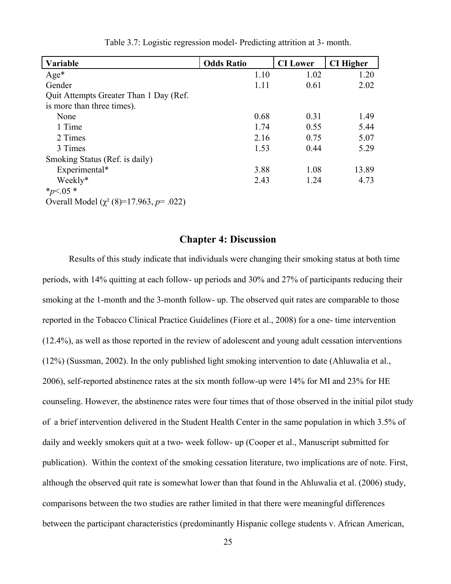| Variable                                   | <b>Odds Ratio</b> | <b>CI</b> Lower | <b>CI</b> Higher |
|--------------------------------------------|-------------------|-----------------|------------------|
| $Age*$                                     | 1.10              | 1.02            | 1.20             |
| Gender                                     | 1.11              | 0.61            | 2.02             |
| Quit Attempts Greater Than 1 Day (Ref.     |                   |                 |                  |
| is more than three times).                 |                   |                 |                  |
| None                                       | 0.68              | 0.31            | 1.49             |
| 1 Time                                     | 1.74              | 0.55            | 5.44             |
| 2 Times                                    | 2.16              | 0.75            | 5.07             |
| 3 Times                                    | 1.53              | 0.44            | 5.29             |
| Smoking Status (Ref. is daily)             |                   |                 |                  |
| Experimental*                              | 3.88              | 1.08            | 13.89            |
| Weekly*                                    | 2.43              | 1.24            | 4.73             |
| * $p<0.05$ *                               |                   |                 |                  |
| Overall Model $(\chi^2(8)=17.963, p=.022)$ |                   |                 |                  |

Table 3.7: Logistic regression model- Predicting attrition at 3- month.

## **Chapter 4: Discussion**

Results of this study indicate that individuals were changing their smoking status at both time periods, with 14% quitting at each follow- up periods and 30% and 27% of participants reducing their smoking at the 1-month and the 3-month follow- up. The observed quit rates are comparable to those reported in the Tobacco Clinical Practice Guidelines (Fiore et al., 2008) for a one- time intervention (12.4%), as well as those reported in the review of adolescent and young adult cessation interventions (12%) (Sussman, 2002). In the only published light smoking intervention to date (Ahluwalia et al., 2006), self-reported abstinence rates at the six month follow-up were 14% for MI and 23% for HE counseling. However, the abstinence rates were four times that of those observed in the initial pilot study of a brief intervention delivered in the Student Health Center in the same population in which 3.5% of daily and weekly smokers quit at a two- week follow- up (Cooper et al., Manuscript submitted for publication). Within the context of the smoking cessation literature, two implications are of note. First, although the observed quit rate is somewhat lower than that found in the Ahluwalia et al. (2006) study, comparisons between the two studies are rather limited in that there were meaningful differences between the participant characteristics (predominantly Hispanic college students v. African American,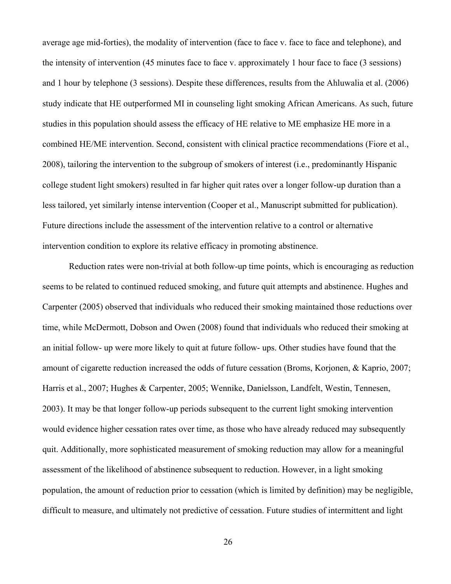average age mid-forties), the modality of intervention (face to face v. face to face and telephone), and the intensity of intervention (45 minutes face to face v. approximately 1 hour face to face (3 sessions) and 1 hour by telephone (3 sessions). Despite these differences, results from the Ahluwalia et al. (2006) study indicate that HE outperformed MI in counseling light smoking African Americans. As such, future studies in this population should assess the efficacy of HE relative to ME emphasize HE more in a combined HE/ME intervention. Second, consistent with clinical practice recommendations (Fiore et al., 2008), tailoring the intervention to the subgroup of smokers of interest (i.e., predominantly Hispanic college student light smokers) resulted in far higher quit rates over a longer follow-up duration than a less tailored, yet similarly intense intervention (Cooper et al., Manuscript submitted for publication). Future directions include the assessment of the intervention relative to a control or alternative intervention condition to explore its relative efficacy in promoting abstinence.

Reduction rates were non-trivial at both follow-up time points, which is encouraging as reduction seems to be related to continued reduced smoking, and future quit attempts and abstinence. Hughes and Carpenter (2005) observed that individuals who reduced their smoking maintained those reductions over time, while McDermott, Dobson and Owen (2008) found that individuals who reduced their smoking at an initial follow- up were more likely to quit at future follow- ups. Other studies have found that the amount of cigarette reduction increased the odds of future cessation (Broms, Korjonen, & Kaprio, 2007; Harris et al., 2007; Hughes & Carpenter, 2005; Wennike, Danielsson, Landfelt, Westin, Tennesen, 2003). It may be that longer follow-up periods subsequent to the current light smoking intervention would evidence higher cessation rates over time, as those who have already reduced may subsequently quit. Additionally, more sophisticated measurement of smoking reduction may allow for a meaningful assessment of the likelihood of abstinence subsequent to reduction. However, in a light smoking population, the amount of reduction prior to cessation (which is limited by definition) may be negligible, difficult to measure, and ultimately not predictive of cessation. Future studies of intermittent and light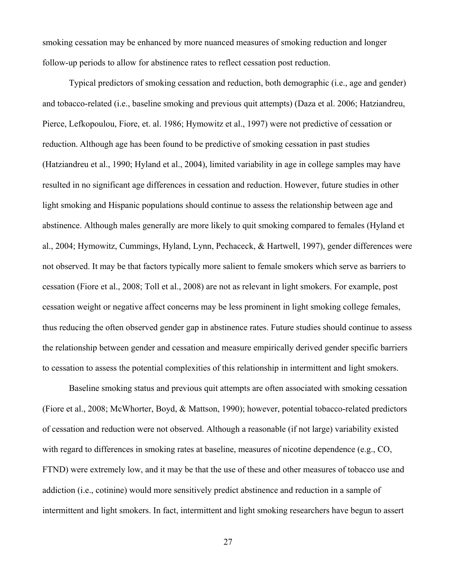smoking cessation may be enhanced by more nuanced measures of smoking reduction and longer follow-up periods to allow for abstinence rates to reflect cessation post reduction.

Typical predictors of smoking cessation and reduction, both demographic (i.e., age and gender) and tobacco-related (i.e., baseline smoking and previous quit attempts) (Daza et al. 2006; Hatziandreu, Pierce, Lefkopoulou, Fiore, et. al. 1986; Hymowitz et al., 1997) were not predictive of cessation or reduction. Although age has been found to be predictive of smoking cessation in past studies (Hatziandreu et al., 1990; Hyland et al., 2004), limited variability in age in college samples may have resulted in no significant age differences in cessation and reduction. However, future studies in other light smoking and Hispanic populations should continue to assess the relationship between age and abstinence. Although males generally are more likely to quit smoking compared to females (Hyland et al., 2004; Hymowitz, Cummings, Hyland, Lynn, Pechaceck, & Hartwell, 1997), gender differences were not observed. It may be that factors typically more salient to female smokers which serve as barriers to cessation (Fiore et al., 2008; Toll et al., 2008) are not as relevant in light smokers. For example, post cessation weight or negative affect concerns may be less prominent in light smoking college females, thus reducing the often observed gender gap in abstinence rates. Future studies should continue to assess the relationship between gender and cessation and measure empirically derived gender specific barriers to cessation to assess the potential complexities of this relationship in intermittent and light smokers.

Baseline smoking status and previous quit attempts are often associated with smoking cessation (Fiore et al., 2008; McWhorter, Boyd, & Mattson, 1990); however, potential tobacco-related predictors of cessation and reduction were not observed. Although a reasonable (if not large) variability existed with regard to differences in smoking rates at baseline, measures of nicotine dependence (e.g., CO, FTND) were extremely low, and it may be that the use of these and other measures of tobacco use and addiction (i.e., cotinine) would more sensitively predict abstinence and reduction in a sample of intermittent and light smokers. In fact, intermittent and light smoking researchers have begun to assert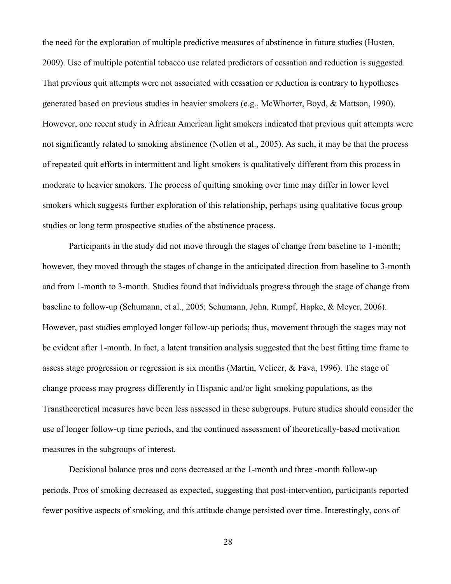the need for the exploration of multiple predictive measures of abstinence in future studies (Husten, 2009). Use of multiple potential tobacco use related predictors of cessation and reduction is suggested. That previous quit attempts were not associated with cessation or reduction is contrary to hypotheses generated based on previous studies in heavier smokers (e.g., McWhorter, Boyd, & Mattson, 1990). However, one recent study in African American light smokers indicated that previous quit attempts were not significantly related to smoking abstinence (Nollen et al., 2005). As such, it may be that the process of repeated quit efforts in intermittent and light smokers is qualitatively different from this process in moderate to heavier smokers. The process of quitting smoking over time may differ in lower level smokers which suggests further exploration of this relationship, perhaps using qualitative focus group studies or long term prospective studies of the abstinence process.

Participants in the study did not move through the stages of change from baseline to 1-month; however, they moved through the stages of change in the anticipated direction from baseline to 3-month and from 1-month to 3-month. Studies found that individuals progress through the stage of change from baseline to follow-up (Schumann, et al., 2005; Schumann, John, Rumpf, Hapke, & Meyer, 2006). However, past studies employed longer follow-up periods; thus, movement through the stages may not be evident after 1-month. In fact, a latent transition analysis suggested that the best fitting time frame to assess stage progression or regression is six months (Martin, Velicer, & Fava, 1996). The stage of change process may progress differently in Hispanic and/or light smoking populations, as the Transtheoretical measures have been less assessed in these subgroups. Future studies should consider the use of longer follow-up time periods, and the continued assessment of theoretically-based motivation measures in the subgroups of interest.

Decisional balance pros and cons decreased at the 1-month and three -month follow-up periods. Pros of smoking decreased as expected, suggesting that post-intervention, participants reported fewer positive aspects of smoking, and this attitude change persisted over time. Interestingly, cons of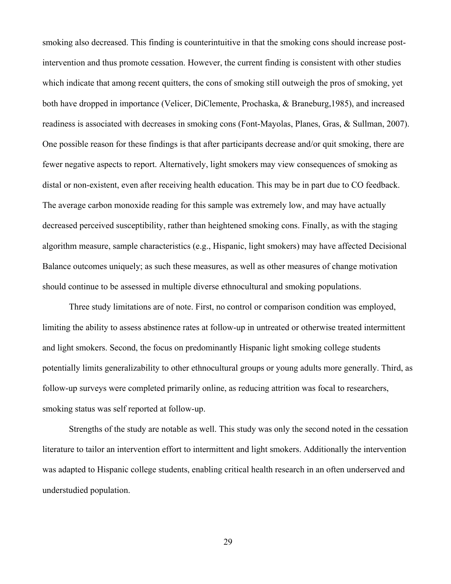smoking also decreased. This finding is counterintuitive in that the smoking cons should increase postintervention and thus promote cessation. However, the current finding is consistent with other studies which indicate that among recent quitters, the cons of smoking still outweigh the pros of smoking, yet both have dropped in importance (Velicer, DiClemente, Prochaska, & Braneburg,1985), and increased readiness is associated with decreases in smoking cons (Font-Mayolas, Planes, Gras, & Sullman, 2007). One possible reason for these findings is that after participants decrease and/or quit smoking, there are fewer negative aspects to report. Alternatively, light smokers may view consequences of smoking as distal or non-existent, even after receiving health education. This may be in part due to CO feedback. The average carbon monoxide reading for this sample was extremely low, and may have actually decreased perceived susceptibility, rather than heightened smoking cons. Finally, as with the staging algorithm measure, sample characteristics (e.g., Hispanic, light smokers) may have affected Decisional Balance outcomes uniquely; as such these measures, as well as other measures of change motivation should continue to be assessed in multiple diverse ethnocultural and smoking populations.

Three study limitations are of note. First, no control or comparison condition was employed, limiting the ability to assess abstinence rates at follow-up in untreated or otherwise treated intermittent and light smokers. Second, the focus on predominantly Hispanic light smoking college students potentially limits generalizability to other ethnocultural groups or young adults more generally. Third, as follow-up surveys were completed primarily online, as reducing attrition was focal to researchers, smoking status was self reported at follow-up.

Strengths of the study are notable as well. This study was only the second noted in the cessation literature to tailor an intervention effort to intermittent and light smokers. Additionally the intervention was adapted to Hispanic college students, enabling critical health research in an often underserved and understudied population.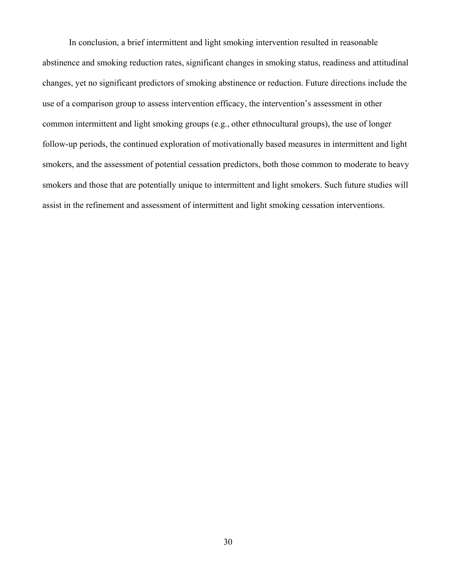In conclusion, a brief intermittent and light smoking intervention resulted in reasonable abstinence and smoking reduction rates, significant changes in smoking status, readiness and attitudinal changes, yet no significant predictors of smoking abstinence or reduction. Future directions include the use of a comparison group to assess intervention efficacy, the intervention's assessment in other common intermittent and light smoking groups (e.g., other ethnocultural groups), the use of longer follow-up periods, the continued exploration of motivationally based measures in intermittent and light smokers, and the assessment of potential cessation predictors, both those common to moderate to heavy smokers and those that are potentially unique to intermittent and light smokers. Such future studies will assist in the refinement and assessment of intermittent and light smoking cessation interventions.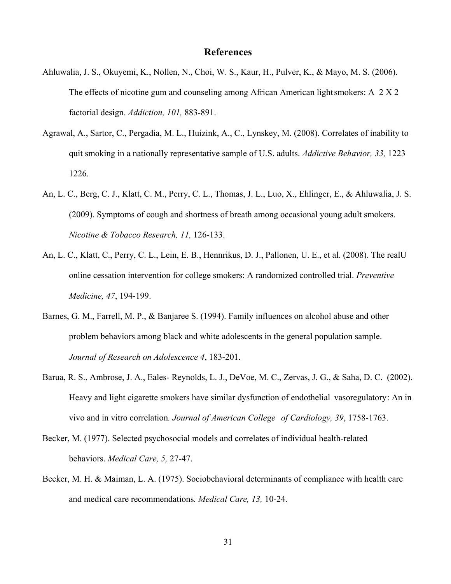### **References**

- Ahluwalia, J. S., Okuyemi, K., Nollen, N., Choi, W. S., Kaur, H., Pulver, K., & Mayo, M. S. (2006). The effects of nicotine gum and counseling among African American light smokers: A 2 X 2 factorial design. *Addiction, 101,* 883-891.
- Agrawal, A., Sartor, C., Pergadia, M. L., Huizink, A., C., Lynskey, M. (2008). Correlates of inability to quit smoking in a nationally representative sample of U.S. adults. *Addictive Behavior, 33,* 1223 1226.
- An, L. C., Berg, C. J., Klatt, C. M., Perry, C. L., Thomas, J. L., Luo, X., Ehlinger, E., & Ahluwalia, J. S. (2009). Symptoms of cough and shortness of breath among occasional young adult smokers. *Nicotine & Tobacco Research, 11,* 126-133.
- An, L. C., Klatt, C., Perry, C. L., Lein, E. B., Hennrikus, D. J., Pallonen, U. E., et al. (2008). The realU online cessation intervention for college smokers: A randomized controlled trial. *Preventive Medicine, 47*, 194-199.
- Barnes, G. M., Farrell, M. P., & Banjaree S. (1994). Family influences on alcohol abuse and other problem behaviors among black and white adolescents in the general population sample. *Journal of Research on Adolescence 4*, 183-201.
- Barua, R. S., Ambrose, J. A., Eales- Reynolds, L. J., DeVoe, M. C., Zervas, J. G., & Saha, D. C. (2002). Heavy and light cigarette smokers have similar dysfunction of endothelial vasoregulatory: An in vivo and in vitro correlation*. Journal of American College of Cardiology, 39*, 1758-1763.
- Becker, M. (1977). Selected psychosocial models and correlates of individual health-related behaviors. *Medical Care, 5,* 27-47.
- Becker, M. H. & Maiman, L. A. (1975). Sociobehavioral determinants of compliance with health care and medical care recommendations*. Medical Care, 13,* 10-24.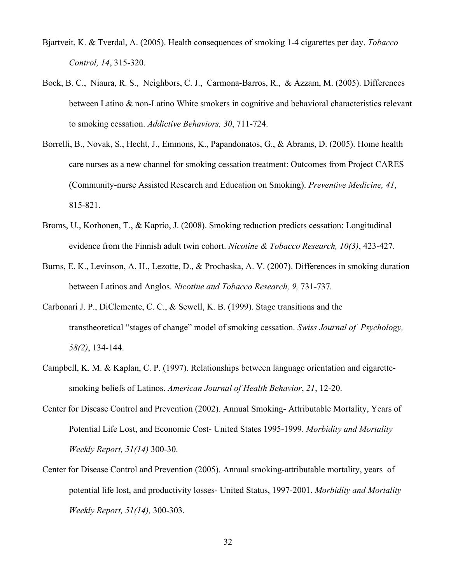- Bjartveit, K. & Tverdal, A. (2005). Health consequences of smoking 1-4 cigarettes per day. *Tobacco Control, 14*, 315-320.
- Bock, B. C., Niaura, R. S., Neighbors, C. J., Carmona-Barros, R., & Azzam, M. (2005). Differences between Latino & non-Latino White smokers in cognitive and behavioral characteristics relevant to smoking cessation. *Addictive Behaviors, 30*, 711-724.
- Borrelli, B., Novak, S., Hecht, J., Emmons, K., Papandonatos, G., & Abrams, D. (2005). Home health care nurses as a new channel for smoking cessation treatment: Outcomes from Project CARES (Community-nurse Assisted Research and Education on Smoking). *Preventive Medicine, 41*, 815-821.
- Broms, U., Korhonen, T., & Kaprio, J. (2008). Smoking reduction predicts cessation: Longitudinal evidence from the Finnish adult twin cohort. *Nicotine & Tobacco Research, 10(3)*, 423-427.
- Burns, E. K., Levinson, A. H., Lezotte, D., & Prochaska, A. V. (2007). Differences in smoking duration between Latinos and Anglos. *Nicotine and Tobacco Research, 9,* 731-737*.*
- Carbonari J. P., DiClemente, C. C., & Sewell, K. B. (1999). Stage transitions and the transtheoretical "stages of change" model of smoking cessation. *Swiss Journal of Psychology, 58(2)*, 134-144.
- Campbell, K. M. & Kaplan, C. P. (1997). Relationships between language orientation and cigarettesmoking beliefs of Latinos. *American Journal of Health Behavior*, *21*, 12-20.
- Center for Disease Control and Prevention (2002). Annual Smoking- Attributable Mortality, Years of Potential Life Lost, and Economic Cost- United States 1995-1999. *Morbidity and Mortality Weekly Report, 51(14)* 300-30.
- Center for Disease Control and Prevention (2005). Annual smoking-attributable mortality, years of potential life lost, and productivity losses- United Status, 1997-2001. *Morbidity and Mortality Weekly Report, 51(14),* 300-303.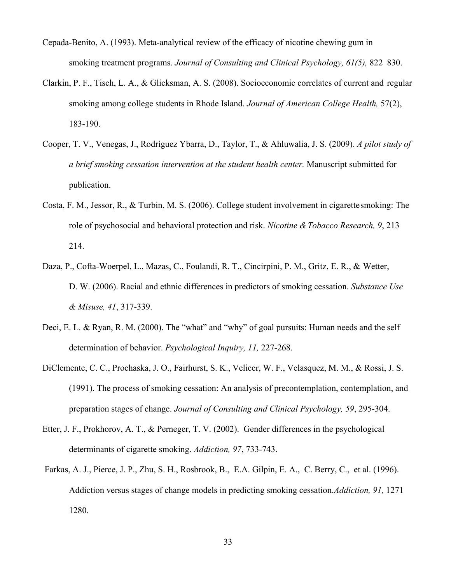- Cepada-Benito, A. (1993). Meta-analytical review of the efficacy of nicotine chewing gum in smoking treatment programs. *Journal of Consulting and Clinical Psychology, 61(5),* 822 830.
- Clarkin, P. F., Tisch, L. A., & Glicksman, A. S. (2008). Socioeconomic correlates of current and regular smoking among college students in Rhode Island. *Journal of American College Health,* 57(2), 183-190.
- Cooper, T. V., Venegas, J., Rodríguez Ybarra, D., Taylor, T., & Ahluwalia, J. S. (2009). *A pilot study of a brief smoking cessation intervention at the student health center.* Manuscript submitted for publication.
- Costa, F. M., Jessor, R., & Turbin, M. S. (2006). College student involvement in cigarette smoking: The role of psychosocial and behavioral protection and risk. *Nicotine & Tobacco Research, 9*, 213 214.
- Daza, P., Cofta-Woerpel, L., Mazas, C., Foulandi, R. T., Cincirpini, P. M., Gritz, E. R., & Wetter, D. W. (2006). Racial and ethnic differences in predictors of smoking cessation. *Substance Use & Misuse, 41*, 317-339.
- Deci, E. L. & Ryan, R. M. (2000). The "what" and "why" of goal pursuits: Human needs and the self determination of behavior. *Psychological Inquiry, 11,* 227-268.
- DiClemente, C. C., Prochaska, J. O., Fairhurst, S. K., Velicer, W. F., Velasquez, M. M., & Rossi, J. S. (1991). The process of smoking cessation: An analysis of precontemplation, contemplation, and preparation stages of change. *Journal of Consulting and Clinical Psychology, 59*, 295-304.
- Etter, J. F., Prokhorov, A. T., & Perneger, T. V. (2002). Gender differences in the psychological determinants of cigarette smoking. *Addiction, 97*, 733-743.
- Farkas, A. J., Pierce, J. P., Zhu, S. H., Rosbrook, B., E.A. Gilpin, E. A., C. Berry, C., et al. (1996). Addiction versus stages of change models in predicting smoking cessation. *Addiction, 91,* 1271 1280.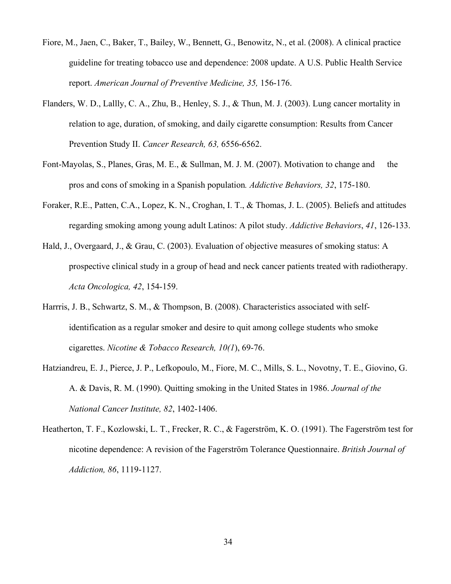- Fiore, M., Jaen, C., Baker, T., Bailey, W., Bennett, G., Benowitz, N., et al. (2008). A clinical practice guideline for treating tobacco use and dependence: 2008 update. A U.S. Public Health Service report. *American Journal of Preventive Medicine, 35,* 156-176.
- Flanders, W. D., Lallly, C. A., Zhu, B., Henley, S. J., & Thun, M. J. (2003). Lung cancer mortality in relation to age, duration, of smoking, and daily cigarette consumption: Results from Cancer Prevention Study II. *Cancer Research, 63,* 6556-6562.
- Font-Mayolas, S., Planes, Gras, M. E., & Sullman, M. J. M. (2007). Motivation to change and the pros and cons of smoking in a Spanish population*. Addictive Behaviors, 32*, 175-180.
- Foraker, R.E., Patten, C.A., Lopez, K. N., Croghan, I. T., & Thomas, J. L. (2005). Beliefs and attitudes regarding smoking among young adult Latinos: A pilot study. *Addictive Behaviors*, *41*, 126-133.
- Hald, J., Overgaard, J., & Grau, C. (2003). Evaluation of objective measures of smoking status: A prospective clinical study in a group of head and neck cancer patients treated with radiotherapy. *Acta Oncologica, 42*, 154-159.
- Harrris, J. B., Schwartz, S. M., & Thompson, B. (2008). Characteristics associated with selfidentification as a regular smoker and desire to quit among college students who smoke cigarettes. *Nicotine & Tobacco Research, 10(1*), 69-76.
- Hatziandreu, E. J., Pierce, J. P., Lefkopoulo, M., Fiore, M. C., Mills, S. L., Novotny, T. E., Giovino, G. A. & Davis, R. M. (1990). Quitting smoking in the United States in 1986. *Journal of the National Cancer Institute, 82*, 1402-1406.
- Heatherton, T. F., Kozlowski, L. T., Frecker, R. C., & Fagerström, K. O. (1991). The Fagerström test for nicotine dependence: A revision of the Fagerström Tolerance Questionnaire. *British Journal of Addiction, 86*, 1119-1127.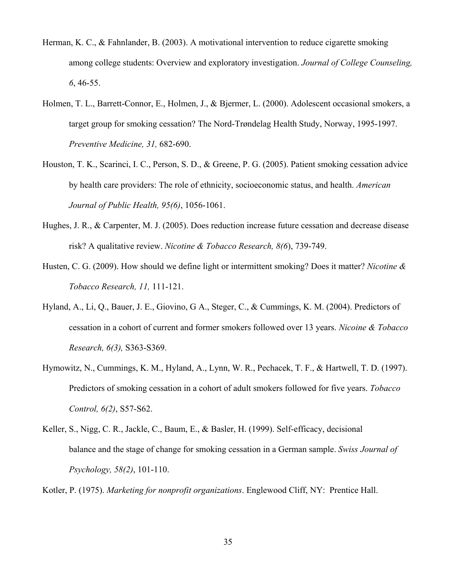- Herman, K. C., & Fahnlander, B. (2003). A motivational intervention to reduce cigarette smoking among college students: Overview and exploratory investigation. *Journal of College Counseling, 6*, 46-55.
- Holmen, T. L., Barrett-Connor, E., Holmen, J., & Bjermer, L. (2000). Adolescent occasional smokers, a target group for smoking cessation? The Nord-Trøndelag Health Study, Norway, 1995-1997. *Preventive Medicine, 31,* 682-690.
- Houston, T. K., Scarinci, I. C., Person, S. D., & Greene, P. G. (2005). Patient smoking cessation advice by health care providers: The role of ethnicity, socioeconomic status, and health. *American Journal of Public Health, 95(6)*, 1056-1061.
- Hughes, J. R., & Carpenter, M. J. (2005). Does reduction increase future cessation and decrease disease risk? A qualitative review. *Nicotine & Tobacco Research, 8(6*), 739-749.
- Husten, C. G. (2009). How should we define light or intermittent smoking? Does it matter? *Nicotine & Tobacco Research, 11,* 111-121.
- Hyland, A., Li, Q., Bauer, J. E., Giovino, G A., Steger, C., & Cummings, K. M. (2004). Predictors of cessation in a cohort of current and former smokers followed over 13 years. *Nicoine & Tobacco Research, 6(3),* S363-S369.
- Hymowitz, N., Cummings, K. M., Hyland, A., Lynn, W. R., Pechacek, T. F., & Hartwell, T. D. (1997). Predictors of smoking cessation in a cohort of adult smokers followed for five years. *Tobacco Control, 6(2)*, S57-S62.
- Keller, S., Nigg, C. R., Jackle, C., Baum, E., & Basler, H. (1999). Self-efficacy, decisional balance and the stage of change for smoking cessation in a German sample. *Swiss Journal of Psychology, 58(2)*, 101-110.

Kotler, P. (1975). *Marketing for nonprofit organizations*. Englewood Cliff, NY: Prentice Hall.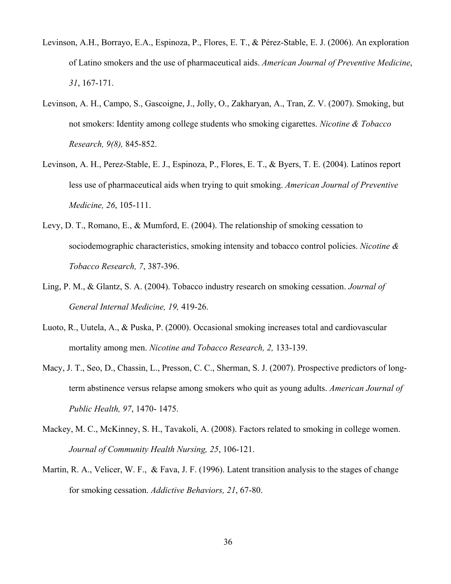- Levinson, A.H., Borrayo, E.A., Espinoza, P., Flores, E. T., & Pérez-Stable, E. J. (2006). An exploration of Latino smokers and the use of pharmaceutical aids. *American Journal of Preventive Medicine*, *31*, 167-171.
- Levinson, A. H., Campo, S., Gascoigne, J., Jolly, O., Zakharyan, A., Tran, Z. V. (2007). Smoking, but not smokers: Identity among college students who smoking cigarettes. *Nicotine & Tobacco Research, 9(8),* 845-852.
- Levinson, A. H., Perez-Stable, E. J., Espinoza, P., Flores, E. T., & Byers, T. E. (2004). Latinos report less use of pharmaceutical aids when trying to quit smoking. *American Journal of Preventive Medicine, 26*, 105-111.
- Levy, D. T., Romano, E., & Mumford, E. (2004). The relationship of smoking cessation to sociodemographic characteristics, smoking intensity and tobacco control policies. *Nicotine & Tobacco Research, 7*, 387-396.
- Ling, P. M., & Glantz, S. A. (2004). Tobacco industry research on smoking cessation. *Journal of General Internal Medicine, 19,* 419-26.
- Luoto, R., Uutela, A., & Puska, P. (2000). Occasional smoking increases total and cardiovascular mortality among men. *Nicotine and Tobacco Research, 2,* 133-139.
- Macy, J. T., Seo, D., Chassin, L., Presson, C. C., Sherman, S. J. (2007). Prospective predictors of longterm abstinence versus relapse among smokers who quit as young adults. *American Journal of Public Health, 97*, 1470- 1475.
- Mackey, M. C., McKinney, S. H., Tavakoli, A. (2008). Factors related to smoking in college women. *Journal of Community Health Nursing, 25*, 106-121.
- Martin, R. A., Velicer, W. F., & Fava, J. F. (1996). Latent transition analysis to the stages of change for smoking cessation. *Addictive Behaviors, 21*, 67-80.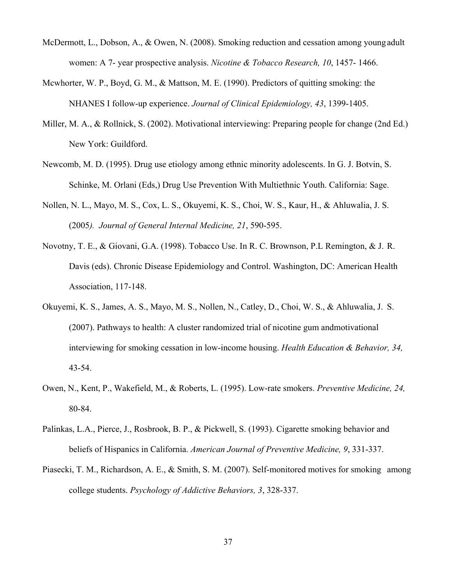- McDermott, L., Dobson, A., & Owen, N. (2008). Smoking reduction and cessation among young adult women: A 7- year prospective analysis. *Nicotine & Tobacco Research, 10*, 1457- 1466.
- Mcwhorter, W. P., Boyd, G. M., & Mattson, M. E. (1990). Predictors of quitting smoking: the NHANES I follow-up experience. *Journal of Clinical Epidemiology, 43*, 1399-1405.
- Miller, M. A., & Rollnick, S. (2002). Motivational interviewing: Preparing people for change (2nd Ed.) New York: Guildford.
- Newcomb, M. D. (1995). Drug use etiology among ethnic minority adolescents. In G. J. Botvin, S. Schinke, M. Orlani (Eds,) Drug Use Prevention With Multiethnic Youth. California: Sage.
- Nollen, N. L., Mayo, M. S., Cox, L. S., Okuyemi, K. S., Choi, W. S., Kaur, H., & Ahluwalia, J. S. (2005*). Journal of General Internal Medicine, 21*, 590-595.
- Novotny, T. E., & Giovani, G.A. (1998). Tobacco Use. In R. C. Brownson, P.L Remington, & J. R. Davis (eds). Chronic Disease Epidemiology and Control. Washington, DC: American Health Association, 117-148.
- Okuyemi, K. S., James, A. S., Mayo, M. S., Nollen, N., Catley, D., Choi, W. S., & Ahluwalia, J. S. (2007). Pathways to health: A cluster randomized trial of nicotine gum and motivational interviewing for smoking cessation in low-income housing. *Health Education & Behavior, 34,* 43-54.
- Owen, N., Kent, P., Wakefield, M., & Roberts, L. (1995). Low-rate smokers. *Preventive Medicine, 24,*  80-84.
- Palinkas, L.A., Pierce, J., Rosbrook, B. P., & Pickwell, S. (1993). Cigarette smoking behavior and beliefs of Hispanics in California. *American Journal of Preventive Medicine, 9*, 331-337.
- Piasecki, T. M., Richardson, A. E., & Smith, S. M. (2007). Self-monitored motives for smoking among college students. *Psychology of Addictive Behaviors, 3*, 328-337.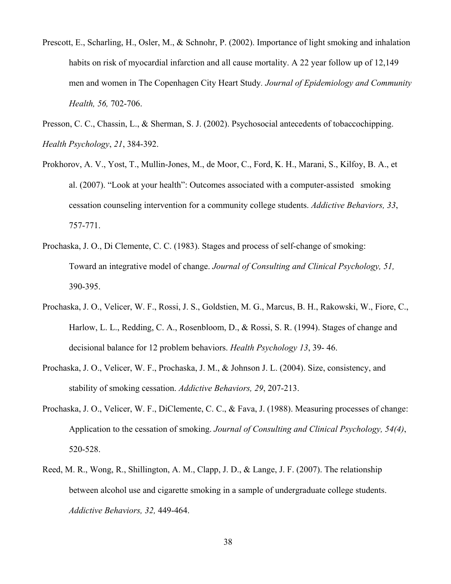Prescott, E., Scharling, H., Osler, M., & Schnohr, P. (2002). Importance of light smoking and inhalation habits on risk of myocardial infarction and all cause mortality. A 22 year follow up of 12,149 men and women in The Copenhagen City Heart Study*. Journal of Epidemiology and Community Health, 56,* 702-706.

Presson, C. C., Chassin, L., & Sherman, S. J. (2002). Psychosocial antecedents of tobaccochipping. *Health Psychology*, *21*, 384-392.

- Prokhorov, A. V., Yost, T., Mullin-Jones, M., de Moor, C., Ford, K. H., Marani, S., Kilfoy, B. A., et al. (2007). "Look at your health": Outcomes associated with a computer-assisted smoking cessation counseling intervention for a community college students. *Addictive Behaviors, 33*, 757-771.
- Prochaska, J. O., Di Clemente, C. C. (1983). Stages and process of self-change of smoking: Toward an integrative model of change. *Journal of Consulting and Clinical Psychology, 51,* 390-395.
- Prochaska, J. O., Velicer, W. F., Rossi, J. S., Goldstien, M. G., Marcus, B. H., Rakowski, W., Fiore, C., Harlow, L. L., Redding, C. A., Rosenbloom, D., & Rossi, S. R. (1994). Stages of change and decisional balance for 12 problem behaviors. *Health Psychology 13*, 39- 46.
- Prochaska, J. O., Velicer, W. F., Prochaska, J. M., & Johnson J. L. (2004). Size, consistency, and stability of smoking cessation. *Addictive Behaviors, 29*, 207-213.
- Prochaska, J. O., Velicer, W. F., DiClemente, C. C., & Fava, J. (1988). Measuring processes of change: Application to the cessation of smoking. *Journal of Consulting and Clinical Psychology, 54(4)*, 520-528.
- Reed, M. R., Wong, R., Shillington, A. M., Clapp, J. D., & Lange, J. F. (2007). The relationship between alcohol use and cigarette smoking in a sample of undergraduate college students. *Addictive Behaviors, 32,* 449-464.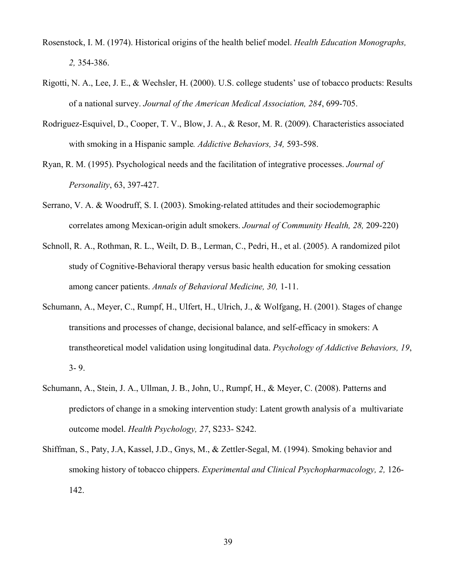- Rosenstock, I. M. (1974). Historical origins of the health belief model. *Health Education Monographs, 2,* 354-386.
- Rigotti, N. A., Lee, J. E., & Wechsler, H. (2000). U.S. college students' use of tobacco products: Results of a national survey. *Journal of the American Medical Association, 284*, 699-705.
- Rodriguez-Esquivel, D., Cooper, T. V., Blow, J. A., & Resor, M. R. (2009). Characteristics associated with smoking in a Hispanic sample*. Addictive Behaviors, 34,* 593-598.
- Ryan, R. M. (1995). Psychological needs and the facilitation of integrative processes. *Journal of Personality*, 63, 397-427.
- Serrano, V. A. & Woodruff, S. I. (2003). Smoking-related attitudes and their sociodemographic correlates among Mexican-origin adult smokers. *Journal of Community Health, 28,* 209-220)
- Schnoll, R. A., Rothman, R. L., Weilt, D. B., Lerman, C., Pedri, H., et al. (2005). A randomized pilot study of Cognitive-Behavioral therapy versus basic health education for smoking cessation among cancer patients. *Annals of Behavioral Medicine, 30,* 1-11.
- Schumann, A., Meyer, C., Rumpf, H., Ulfert, H., Ulrich, J., & Wolfgang, H. (2001). Stages of change transitions and processes of change, decisional balance, and self-efficacy in smokers: A transtheoretical model validation using longitudinal data. *Psychology of Addictive Behaviors, 19*,  $3 - 9.$
- Schumann, A., Stein, J. A., Ullman, J. B., John, U., Rumpf, H., & Meyer, C. (2008). Patterns and predictors of change in a smoking intervention study: Latent growth analysis of a multivariate outcome model. *Health Psychology, 27*, S233- S242.
- Shiffman, S., Paty, J.A, Kassel, J.D., Gnys, M., & Zettler-Segal, M. (1994). Smoking behavior and smoking history of tobacco chippers. *Experimental and Clinical Psychopharmacology, 2,* 126- 142.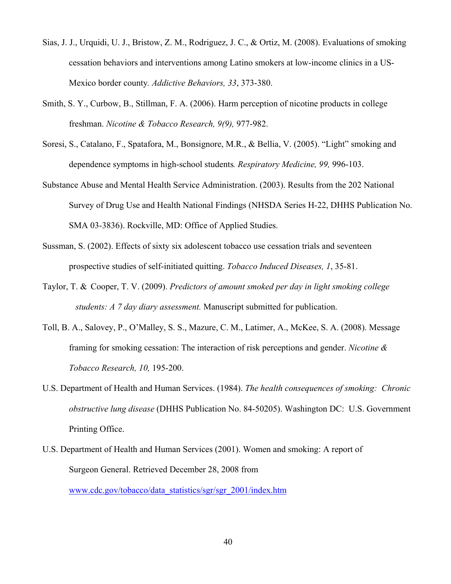- Sias, J. J., Urquidi, U. J., Bristow, Z. M., Rodriguez, J. C., & Ortiz, M. (2008). Evaluations of smoking cessation behaviors and interventions among Latino smokers at low-income clinics in a US-Mexico border county*. Addictive Behaviors, 33*, 373-380.
- Smith, S. Y., Curbow, B., Stillman, F. A. (2006). Harm perception of nicotine products in college freshman. *Nicotine & Tobacco Research, 9(9),* 977-982.
- Soresi, S., Catalano, F., Spatafora, M., Bonsignore, M.R., & Bellia, V. (2005). "Light" smoking and dependence symptoms in high-school students*. Respiratory Medicine, 99,* 996-103.
- Substance Abuse and Mental Health Service Administration. (2003). Results from the 202 National Survey of Drug Use and Health National Findings (NHSDA Series H-22, DHHS Publication No. SMA 03-3836). Rockville, MD: Office of Applied Studies.
- Sussman, S. (2002). Effects of sixty six adolescent tobacco use cessation trials and seventeen prospective studies of self-initiated quitting. *Tobacco Induced Diseases, 1*, 35-81.
- Taylor, T. & Cooper, T. V. (2009). *Predictors of amount smoked per day in light smoking college students: A 7 day diary assessment.* Manuscript submitted for publication.
- Toll, B. A., Salovey, P., O'Malley, S. S., Mazure, C. M., Latimer, A., McKee, S. A. (2008). Message framing for smoking cessation: The interaction of risk perceptions and gender. *Nicotine & Tobacco Research, 10,* 195-200.
- U.S. Department of Health and Human Services. (1984). *The health consequences of smoking: Chronic obstructive lung disease* (DHHS Publication No. 84-50205). Washington DC: U.S. Government Printing Office.
- U.S. Department of Health and Human Services (2001). Women and smoking: A report of Surgeon General. Retrieved December 28, 2008 from www.cdc.gov/tobacco/data\_statistics/sgr/sgr\_2001/index.htm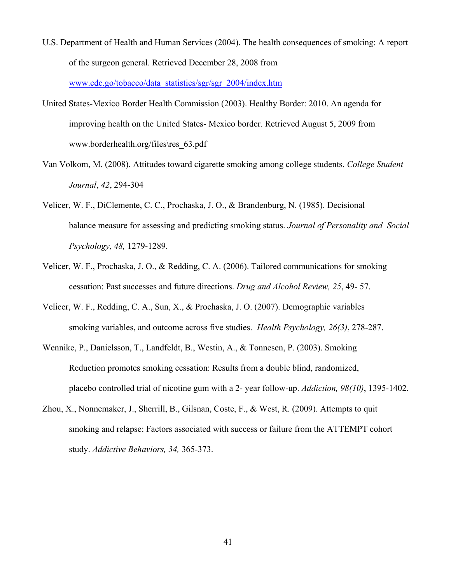- U.S. Department of Health and Human Services (2004). The health consequences of smoking: A report of the surgeon general. Retrieved December 28, 2008 from www.cdc.go/tobacco/data\_statistics/sgr/sgr\_2004/index.htm
- United States-Mexico Border Health Commission (2003). Healthy Border: 2010. An agenda for improving health on the United States- Mexico border. Retrieved August 5, 2009 from www.borderhealth.org/files\res\_63.pdf
- Van Volkom, M. (2008). Attitudes toward cigarette smoking among college students. *College Student Journal*, *42*, 294-304
- Velicer, W. F., DiClemente, C. C., Prochaska, J. O., & Brandenburg, N. (1985). Decisional balance measure for assessing and predicting smoking status. *Journal of Personality and Social Psychology, 48,* 1279-1289.
- Velicer, W. F., Prochaska, J. O., & Redding, C. A. (2006). Tailored communications for smoking cessation: Past successes and future directions. *Drug and Alcohol Review, 25*, 49- 57.
- Velicer, W. F., Redding, C. A., Sun, X., & Prochaska, J. O. (2007). Demographic variables smoking variables, and outcome across five studies. *Health Psychology, 26(3)*, 278-287.
- Wennike, P., Danielsson, T., Landfeldt, B., Westin, A., & Tonnesen, P. (2003). Smoking Reduction promotes smoking cessation: Results from a double blind, randomized, placebo controlled trial of nicotine gum with a 2- year follow-up. *Addiction, 98(10)*, 1395-1402.
- Zhou, X., Nonnemaker, J., Sherrill, B., Gilsnan, Coste, F., & West, R. (2009). Attempts to quit smoking and relapse: Factors associated with success or failure from the ATTEMPT cohort study. *Addictive Behaviors, 34,* 365-373.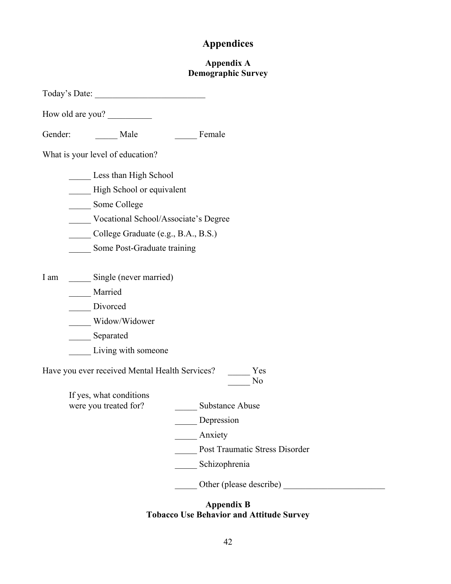## **Appendices**

#### **Appendix A Demographic Survey**

|         | How old are you?                                 |                                       |
|---------|--------------------------------------------------|---------------------------------------|
| Gender: | Male                                             | Female                                |
|         | What is your level of education?                 |                                       |
|         | Less than High School                            |                                       |
|         | High School or equivalent                        |                                       |
|         | Some College                                     |                                       |
|         | Vocational School/Associate's Degree             |                                       |
|         | College Graduate (e.g., B.A., B.S.)              |                                       |
|         | Some Post-Graduate training                      |                                       |
| I am    | Single (never married)                           |                                       |
|         | Married                                          |                                       |
|         | Divorced                                         |                                       |
|         | Widow/Widower                                    |                                       |
|         | _Separated                                       |                                       |
|         | _ Living with someone                            |                                       |
|         | Have you ever received Mental Health Services?   | Yes<br>No                             |
|         | If yes, what conditions<br>were you treated for? | <b>Substance Abuse</b>                |
|         |                                                  | Depression                            |
|         |                                                  | Anxiety                               |
|         |                                                  | <b>Post Traumatic Stress Disorder</b> |
|         |                                                  | Schizophrenia                         |
|         |                                                  | Other (please describe)               |

#### **Appendix B Tobacco Use Behavior and Attitude Survey**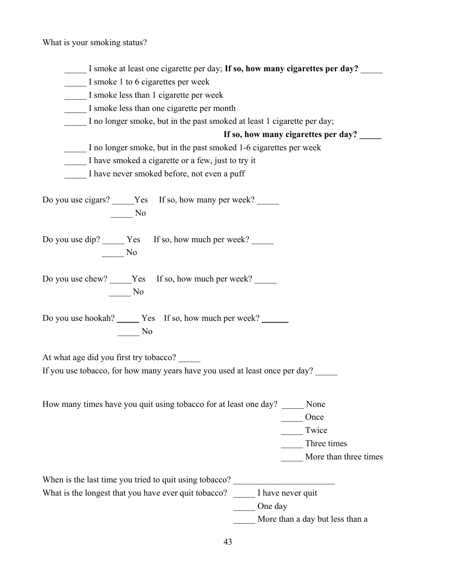What is your smoking status?

| I smoke at least one cigarette per day; If so, how many cigarettes per day?                                                       |
|-----------------------------------------------------------------------------------------------------------------------------------|
| I smoke 1 to 6 cigarettes per week                                                                                                |
| I smoke less than 1 cigarette per week                                                                                            |
| I smoke less than one cigarette per month                                                                                         |
| I no longer smoke, but in the past smoked at least 1 cigarette per day;                                                           |
| If so, how many cigarettes per day?                                                                                               |
| I no longer smoke, but in the past smoked 1-6 cigarettes per week                                                                 |
| I have smoked a cigarette or a few, just to try it                                                                                |
| I have never smoked before, not even a puff                                                                                       |
| Do you use cigars? _____Yes If so, how many per week? ______<br>$\frac{1}{\sqrt{1-\frac{1}{2}}}$ No                               |
| Do you use dip? _______ Yes If so, how much per week? _______<br>$\overline{\phantom{0}}$ No                                      |
| Do you use chew? _____Yes If so, how much per week? ______<br>$\frac{1}{\sqrt{1-\frac{1}{2}}}$ No                                 |
| Do you use hookah? ________ Yes If so, how much per week? _______________________<br>$\overline{\phantom{0}}$ No                  |
| At what age did you first try tobacco?                                                                                            |
| If you use tobacco, for how many years have you used at least once per day?                                                       |
| How many times have you quit using tobacco for at least one day?<br>None<br>Once<br>Twice<br>Three times<br>More than three times |
| When is the last time you tried to quit using tobacco? __________________________                                                 |
| What is the longest that you have ever quit tobacco? ______ I have never quit                                                     |
| One day                                                                                                                           |
| More than a day but less than a                                                                                                   |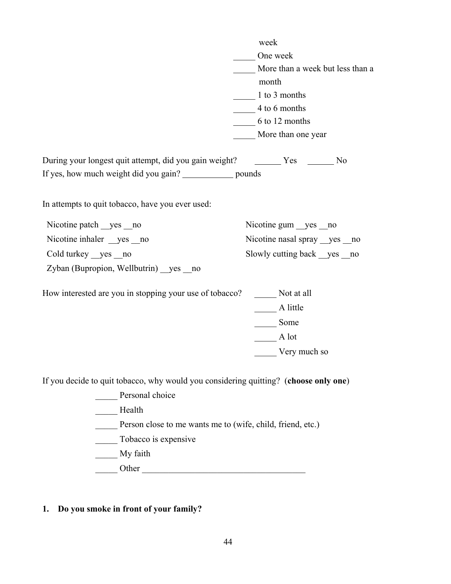|                                                                                                                                                                                 | week<br>One week<br>More than a week but less than a<br>month<br>1 to 3 months<br>$\frac{4 \text{ to } 6 \text{ months}}{4}$<br>6 to 12 months<br>More than one year |  |  |  |
|---------------------------------------------------------------------------------------------------------------------------------------------------------------------------------|----------------------------------------------------------------------------------------------------------------------------------------------------------------------|--|--|--|
| During your longest quit attempt, did you gain weight? The Yes The No                                                                                                           |                                                                                                                                                                      |  |  |  |
|                                                                                                                                                                                 |                                                                                                                                                                      |  |  |  |
| In attempts to quit tobacco, have you ever used:                                                                                                                                |                                                                                                                                                                      |  |  |  |
| Nicotine patch __yes __no                                                                                                                                                       | Nicotine gum _yes _no                                                                                                                                                |  |  |  |
| Nicotine inhaler __yes __no                                                                                                                                                     | Nicotine nasal spray __yes __no                                                                                                                                      |  |  |  |
| Cold turkey __yes __no                                                                                                                                                          | Slowly cutting back yes no                                                                                                                                           |  |  |  |
| Zyban (Bupropion, Wellbutrin) _yes _no                                                                                                                                          |                                                                                                                                                                      |  |  |  |
| How interested are you in stopping your use of tobacco?                                                                                                                         | Not at all                                                                                                                                                           |  |  |  |
|                                                                                                                                                                                 | A little                                                                                                                                                             |  |  |  |
|                                                                                                                                                                                 | Some                                                                                                                                                                 |  |  |  |
|                                                                                                                                                                                 | A lot                                                                                                                                                                |  |  |  |
|                                                                                                                                                                                 | Very much so                                                                                                                                                         |  |  |  |
| If you decide to quit tobacco, why would you considering quitting? (choose only one)<br>Personal choice<br>Health<br>Person close to me wants me to (wife, child, friend, etc.) |                                                                                                                                                                      |  |  |  |
| Tobacco is expensive                                                                                                                                                            |                                                                                                                                                                      |  |  |  |

- \_\_\_\_\_ My faith
- $\frac{1}{\sqrt{1-\frac{1}{2}}}\text{Other}}$

## **1. Do you smoke in front of your family?**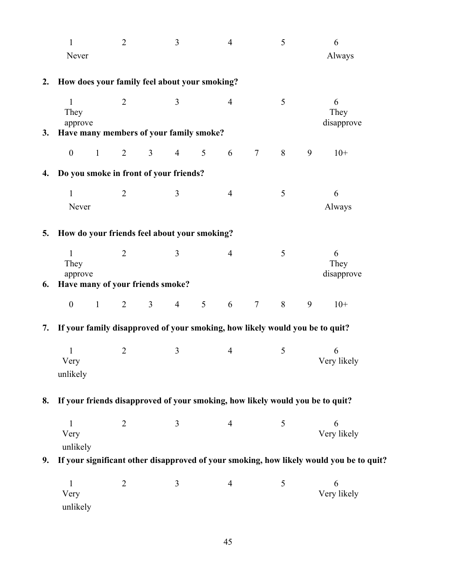|    | $\mathbf{1}$<br>Never                         |              | $\overline{2}$ |                | 3              |                | $\overline{4}$ |                | 5 |   | 6<br>Always                                                                             |  |
|----|-----------------------------------------------|--------------|----------------|----------------|----------------|----------------|----------------|----------------|---|---|-----------------------------------------------------------------------------------------|--|
| 2. | How does your family feel about your smoking? |              |                |                |                |                |                |                |   |   |                                                                                         |  |
|    | $\mathbf{1}$<br>They<br>approve               |              | $\overline{2}$ |                | 3              |                | $\overline{4}$ |                | 5 |   | 6<br>They<br>disapprove                                                                 |  |
| 3. | Have many members of your family smoke?       |              |                |                |                |                |                |                |   |   |                                                                                         |  |
|    | $\boldsymbol{0}$                              | $\mathbf{1}$ | 2              | $\overline{3}$ | $\overline{4}$ | 5              | 6              | $\overline{7}$ | 8 | 9 | $10+$                                                                                   |  |
| 4. | Do you smoke in front of your friends?        |              |                |                |                |                |                |                |   |   |                                                                                         |  |
|    | $\mathbf{1}$<br>Never                         |              | $\overline{2}$ |                | 3              |                | $\overline{4}$ |                | 5 |   | 6<br>Always                                                                             |  |
| 5. | How do your friends feel about your smoking?  |              |                |                |                |                |                |                |   |   |                                                                                         |  |
|    | $\mathbf{1}$<br>They<br>approve               |              | $\overline{2}$ |                | 3              |                | $\overline{4}$ |                | 5 |   | 6<br>They<br>disapprove                                                                 |  |
| 6. | Have many of your friends smoke?              |              |                |                |                |                |                |                |   |   |                                                                                         |  |
|    | $\boldsymbol{0}$                              | $\mathbf{1}$ | 2              | $\overline{3}$ | $\overline{4}$ | 5 <sup>5</sup> | 6              | $\tau$         | 8 | 9 | $10+$                                                                                   |  |
| 7. |                                               |              |                |                |                |                |                |                |   |   | If your family disapproved of your smoking, how likely would you be to quit?            |  |
|    | 1<br>Very<br>unlikely                         |              | $\overline{2}$ |                | 3              |                | $\overline{4}$ |                | 5 |   | 6<br>Very likely                                                                        |  |
| 8. |                                               |              |                |                |                |                |                |                |   |   | If your friends disapproved of your smoking, how likely would you be to quit?           |  |
|    | 1<br>Very<br>unlikely                         |              | 2              |                | $\overline{3}$ |                | $\overline{4}$ |                | 5 |   | 6<br>Very likely                                                                        |  |
| 9. |                                               |              |                |                |                |                |                |                |   |   | If your significant other disapproved of your smoking, how likely would you be to quit? |  |
|    | 1<br>Very<br>unlikely                         |              | $\overline{2}$ |                | 3              |                | $\overline{4}$ |                | 5 |   | 6<br>Very likely                                                                        |  |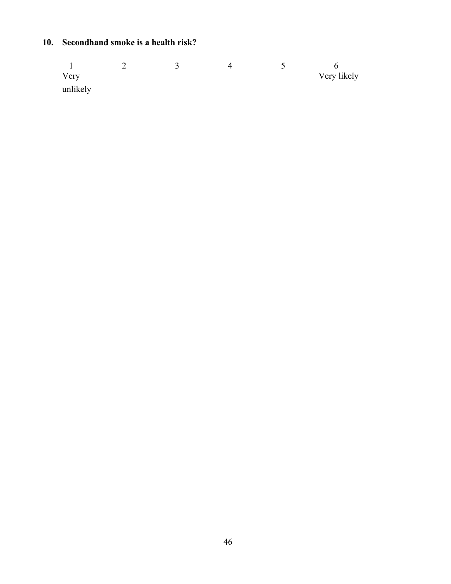## **10. Secondhand smoke is a health risk?**

| $V$ ery  |  |  | Very likely |
|----------|--|--|-------------|
| unlikely |  |  |             |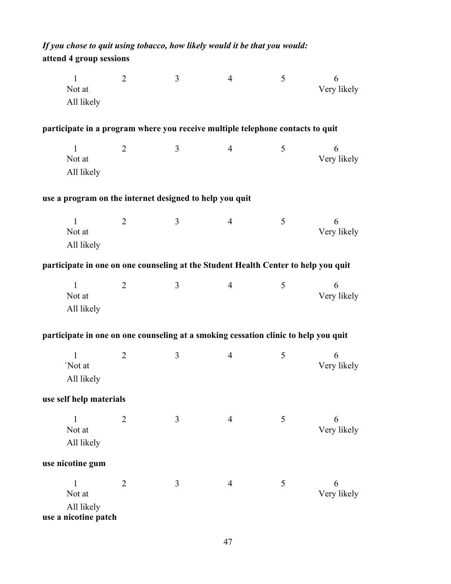| If you chose to quit using tobacco, how likely would it be that you would:<br>attend 4 group sessions |                |   |                |   |                  |
|-------------------------------------------------------------------------------------------------------|----------------|---|----------------|---|------------------|
| $\mathbf{1}$<br>Not at<br>All likely                                                                  | $\overline{2}$ | 3 | $\overline{4}$ | 5 | 6<br>Very likely |
| participate in a program where you receive multiple telephone contacts to quit                        |                |   |                |   |                  |
| $\mathbf{1}$<br>Not at<br>All likely                                                                  | $\overline{2}$ | 3 | $\overline{4}$ | 5 | 6<br>Very likely |
| use a program on the internet designed to help you quit                                               |                |   |                |   |                  |
| $\mathbf{1}$<br>Not at<br>All likely                                                                  | $\overline{2}$ | 3 | $\overline{4}$ | 5 | 6<br>Very likely |
| participate in one on one counseling at the Student Health Center to help you quit                    |                |   |                |   |                  |
| 1<br>Not at<br>All likely                                                                             | $\overline{2}$ | 3 | $\overline{4}$ | 5 | 6<br>Very likely |
| participate in one on one counseling at a smoking cessation clinic to help you quit                   |                |   |                |   |                  |
| 1<br>'Not at<br>All likely                                                                            | $\overline{2}$ | 3 | 4              | 5 | 6<br>Very likely |
| use self help materials                                                                               |                |   |                |   |                  |
| 1<br>Not at<br>All likely                                                                             | $\overline{2}$ | 3 | 4              | 5 | 6<br>Very likely |
| use nicotine gum                                                                                      |                |   |                |   |                  |
| $\mathbf{1}$<br>Not at<br>All likely<br>use a nicotine patch                                          | $\overline{2}$ | 3 | 4              | 5 | 6<br>Very likely |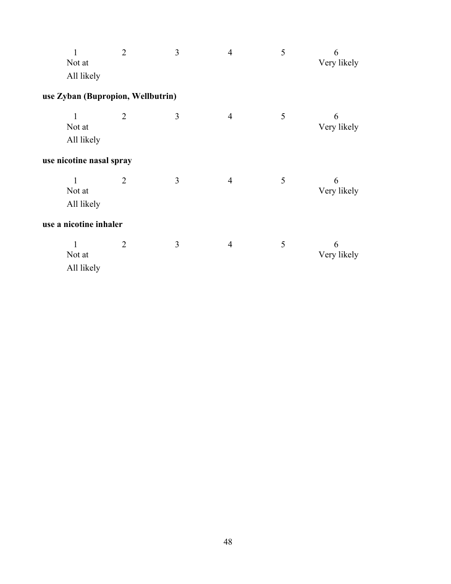| $\mathbf{1}$<br>Not at<br>All likely | $\overline{2}$ | 3 | $\overline{4}$ | 5 | 6<br>Very likely |
|--------------------------------------|----------------|---|----------------|---|------------------|
| use Zyban (Bupropion, Wellbutrin)    |                |   |                |   |                  |
| 1<br>Not at<br>All likely            | $\overline{2}$ | 3 | $\overline{4}$ | 5 | 6<br>Very likely |
| use nicotine nasal spray             |                |   |                |   |                  |
| $\mathbf{1}$<br>Not at<br>All likely | $\overline{2}$ | 3 | $\overline{4}$ | 5 | 6<br>Very likely |
| use a nicotine inhaler               |                |   |                |   |                  |
| 1<br>Not at<br>All likely            | $\overline{2}$ | 3 | $\overline{4}$ | 5 | 6<br>Very likely |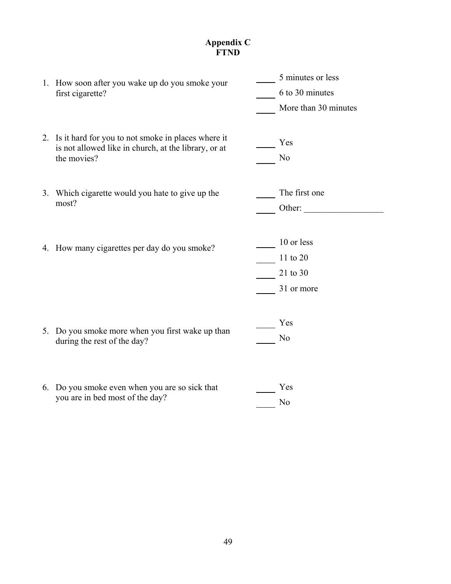### **Appendix C FTND**

| 1. How soon after you wake up do you smoke your<br>first cigarette?                                                          | 5 minutes or less<br>6 to 30 minutes<br>More than 30 minutes |
|------------------------------------------------------------------------------------------------------------------------------|--------------------------------------------------------------|
| 2. Is it hard for you to not smoke in places where it<br>is not allowed like in church, at the library, or at<br>the movies? | Yes<br>No                                                    |
| 3. Which cigarette would you hate to give up the<br>most?                                                                    | The first one<br>Other: $\qquad \qquad$                      |
| 4. How many cigarettes per day do you smoke?                                                                                 | 10 or less<br>11 to 20<br>21 to 30<br>31 or more             |
| 5. Do you smoke more when you first wake up than<br>during the rest of the day?                                              | Yes<br>N <sub>o</sub>                                        |
| 6. Do you smoke even when you are so sick that<br>you are in bed most of the day?                                            | Yes<br>N <sub>o</sub>                                        |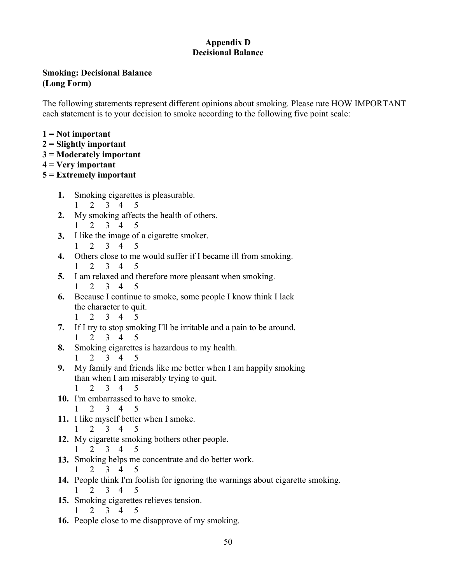### **Appendix D Decisional Balance**

### **Smoking: Decisional Balance (Long Form)**

The following statements represent different opinions about smoking. Please rate HOW IMPORTANT each statement is to your decision to smoke according to the following five point scale:

- **1 = Not important**
- **2 = Slightly important**
- **3 = Moderately important**
- **4 = Very important**
- **5 = Extremely important** 
	- **1.** Smoking cigarettes is pleasurable.
		- 1 2 3 4 5
	- **2.** My smoking affects the health of others.
		- 1 2 3 4 5
	- **3.** I like the image of a cigarette smoker.
		- 1 2 3 4 5
	- **4.** Others close to me would suffer if I became ill from smoking. 1 2 3 4 5
	- **5.** I am relaxed and therefore more pleasant when smoking. 1 2 3 4 5
	- **6.** Because I continue to smoke, some people I know think I lack the character to quit.

1 2 3 4 5

- **7.** If I try to stop smoking I'll be irritable and a pain to be around. 1 2 3 4 5
- **8.** Smoking cigarettes is hazardous to my health. 1 2 3 4 5
- **9.** My family and friends like me better when I am happily smoking than when I am miserably trying to quit. 1 2 3 4 5
- **10.** I'm embarrassed to have to smoke. 1 2 3 4 5
- **11.** I like myself better when I smoke.

1 2 3 4 5

**12.** My cigarette smoking bothers other people.

1 2 3 4 5

- **13.** Smoking helps me concentrate and do better work. 1 2 3 4 5
- **14.** People think I'm foolish for ignoring the warnings about cigarette smoking. 1 2 3 4 5
- **15.** Smoking cigarettes relieves tension.

1 2 3 4 5

**16.** People close to me disapprove of my smoking.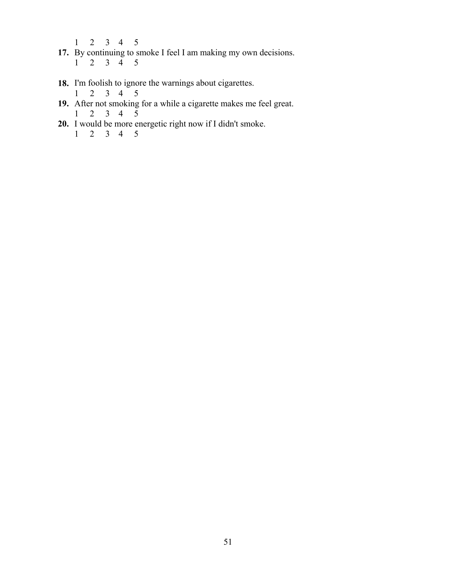- 1 2 3 4 5
- **17.** By continuing to smoke I feel I am making my own decisions.  $1 \t2 \t3 \t4 \t5$
- **18.** I'm foolish to ignore the warnings about cigarettes.
	- $1 \t2 \t3 \t4 \t5$
- **19.** After not smoking for a while a cigarette makes me feel great. 1 2 3 4 5
- **20.** I would be more energetic right now if I didn't smoke. 1 2 3 4 5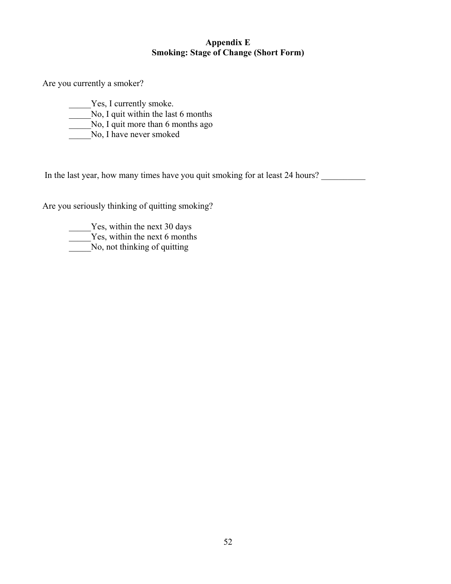#### **Appendix E Smoking: Stage of Change (Short Form)**

Are you currently a smoker?

- \_\_\_\_\_Yes, I currently smoke.
- No, I quit within the last 6 months
- No, I quit more than 6 months ago
- No, I have never smoked

In the last year, how many times have you quit smoking for at least 24 hours?

Are you seriously thinking of quitting smoking?

- Yes, within the next 30 days
- $Y$ es, within the next 6 months

No, not thinking of quitting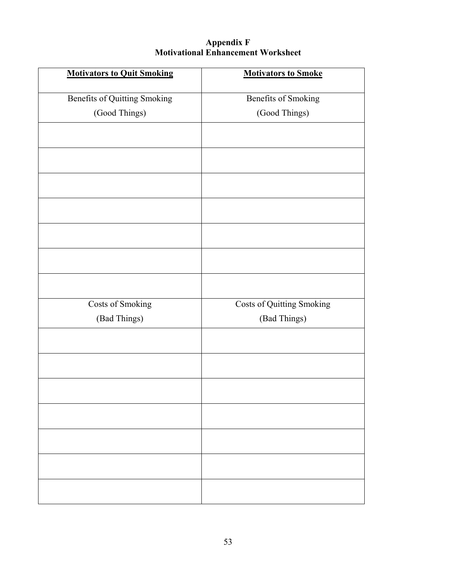### **Appendix F Motivational Enhancement Worksheet**

| <b>Motivators to Quit Smoking</b>   | <b>Motivators to Smoke</b>       |
|-------------------------------------|----------------------------------|
| <b>Benefits of Quitting Smoking</b> | <b>Benefits of Smoking</b>       |
| (Good Things)                       | (Good Things)                    |
|                                     |                                  |
|                                     |                                  |
|                                     |                                  |
|                                     |                                  |
|                                     |                                  |
|                                     |                                  |
|                                     |                                  |
| <b>Costs of Smoking</b>             | <b>Costs of Quitting Smoking</b> |
| (Bad Things)                        | (Bad Things)                     |
|                                     |                                  |
|                                     |                                  |
|                                     |                                  |
|                                     |                                  |
|                                     |                                  |
|                                     |                                  |
|                                     |                                  |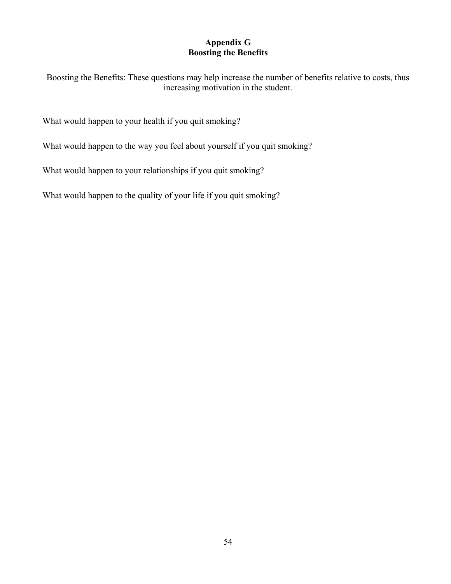## **Appendix G Boosting the Benefits**

Boosting the Benefits: These questions may help increase the number of benefits relative to costs, thus increasing motivation in the student.

What would happen to your health if you quit smoking?

What would happen to the way you feel about yourself if you quit smoking?

What would happen to your relationships if you quit smoking?

What would happen to the quality of your life if you quit smoking?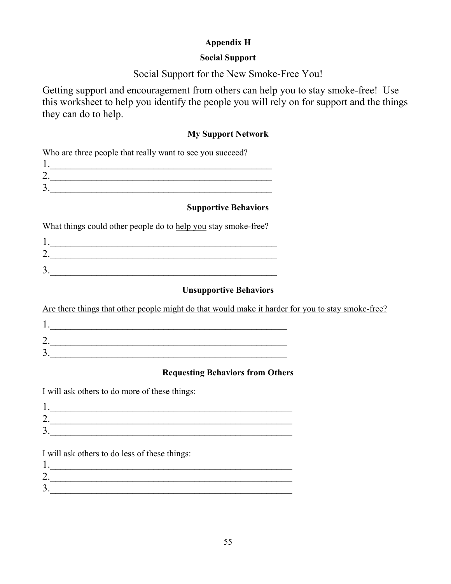## **Appendix H**

### **Social Support**

## Social Support for the New Smoke-Free You!

Getting support and encouragement from others can help you to stay smoke-free! Use this worksheet to help you identify the people you will rely on for support and the things they can do to help.

## **My Support Network**

| Who are three people that really want to see you succeed? |
|-----------------------------------------------------------|
|                                                           |
|                                                           |
|                                                           |

### **Supportive Behaviors**

What things could other people do to help you stay smoke-free?

| ٮ |  |  |  |
|---|--|--|--|

## **Unsupportive Behaviors**

Are there things that other people might do that would make it harder for you to stay smoke-free?

| - |  |  |
|---|--|--|

## **Requesting Behaviors from Others**

I will ask others to do more of these things:

| -- |  |  |  |
|----|--|--|--|
|    |  |  |  |

I will ask others to do less of these things: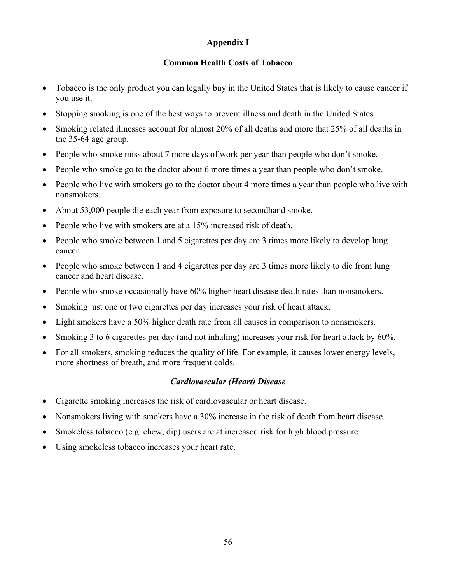## **Appendix I**

## **Common Health Costs of Tobacco**

- " Tobacco is the only product you can legally buy in the United States that is likely to cause cancer if you use it.
- Stopping smoking is one of the best ways to prevent illness and death in the United States.
- Smoking related illnesses account for almost 20% of all deaths and more that 25% of all deaths in the 35-64 age group.
- People who smoke miss about 7 more days of work per year than people who don't smoke.
- People who smoke go to the doctor about 6 more times a year than people who don't smoke.
- People who live with smokers go to the doctor about 4 more times a year than people who live with nonsmokers.
- About 53,000 people die each year from exposure to secondhand smoke.
- People who live with smokers are at a 15% increased risk of death.
- People who smoke between 1 and 5 cigarettes per day are 3 times more likely to develop lung cancer.
- People who smoke between 1 and 4 cigarettes per day are 3 times more likely to die from lung cancer and heart disease.
- People who smoke occasionally have 60% higher heart disease death rates than nonsmokers.
- Smoking just one or two cigarettes per day increases your risk of heart attack.
- Light smokers have a 50% higher death rate from all causes in comparison to nonsmokers.
- Smoking 3 to 6 cigarettes per day (and not inhaling) increases your risk for heart attack by 60%.
- " For all smokers, smoking reduces the quality of life. For example, it causes lower energy levels, more shortness of breath, and more frequent colds.

### *Cardiovascular (Heart) Disease*

- Cigarette smoking increases the risk of cardiovascular or heart disease.
- Nonsmokers living with smokers have a 30% increase in the risk of death from heart disease.
- Smokeless tobacco (e.g. chew, dip) users are at increased risk for high blood pressure.
- Using smokeless tobacco increases your heart rate.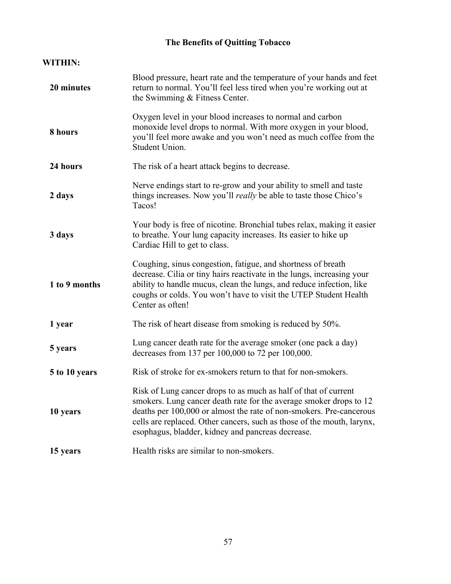## **The Benefits of Quitting Tobacco**

| <b>WITHIN:</b> |                                                                                                                                                                                                                                                                                                                                             |  |  |  |  |
|----------------|---------------------------------------------------------------------------------------------------------------------------------------------------------------------------------------------------------------------------------------------------------------------------------------------------------------------------------------------|--|--|--|--|
| 20 minutes     | Blood pressure, heart rate and the temperature of your hands and feet<br>return to normal. You'll feel less tired when you're working out at<br>the Swimming & Fitness Center.                                                                                                                                                              |  |  |  |  |
| 8 hours        | Oxygen level in your blood increases to normal and carbon<br>monoxide level drops to normal. With more oxygen in your blood,<br>you'll feel more awake and you won't need as much coffee from the<br>Student Union.                                                                                                                         |  |  |  |  |
| 24 hours       | The risk of a heart attack begins to decrease.                                                                                                                                                                                                                                                                                              |  |  |  |  |
| 2 days         | Nerve endings start to re-grow and your ability to smell and taste<br>things increases. Now you'll <i>really</i> be able to taste those Chico's<br>Tacos!                                                                                                                                                                                   |  |  |  |  |
| 3 days         | Your body is free of nicotine. Bronchial tubes relax, making it easier<br>to breathe. Your lung capacity increases. Its easier to hike up<br>Cardiac Hill to get to class.                                                                                                                                                                  |  |  |  |  |
| 1 to 9 months  | Coughing, sinus congestion, fatigue, and shortness of breath<br>decrease. Cilia or tiny hairs reactivate in the lungs, increasing your<br>ability to handle mucus, clean the lungs, and reduce infection, like<br>coughs or colds. You won't have to visit the UTEP Student Health<br>Center as often!                                      |  |  |  |  |
| 1 year         | The risk of heart disease from smoking is reduced by 50%.                                                                                                                                                                                                                                                                                   |  |  |  |  |
| 5 years        | Lung cancer death rate for the average smoker (one pack a day)<br>decreases from 137 per 100,000 to 72 per 100,000.                                                                                                                                                                                                                         |  |  |  |  |
| 5 to 10 years  | Risk of stroke for ex-smokers return to that for non-smokers.                                                                                                                                                                                                                                                                               |  |  |  |  |
| 10 years       | Risk of Lung cancer drops to as much as half of that of current<br>smokers. Lung cancer death rate for the average smoker drops to 12<br>deaths per 100,000 or almost the rate of non-smokers. Pre-cancerous<br>cells are replaced. Other cancers, such as those of the mouth, larynx,<br>esophagus, bladder, kidney and pancreas decrease. |  |  |  |  |
| 15 years       | Health risks are similar to non-smokers.                                                                                                                                                                                                                                                                                                    |  |  |  |  |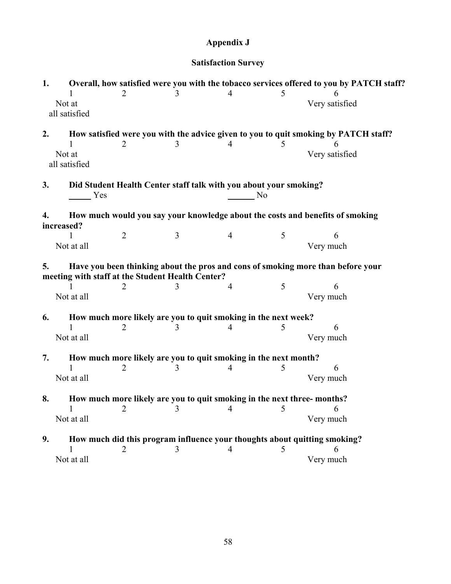## **Appendix J**

## **Satisfaction Survey**

| 1.                                                                    | Overall, how satisfied were you with the tobacco services offered to you by PATCH staff? |                             |                                                                                                                                               |                |                |                                                                                     |  |  |
|-----------------------------------------------------------------------|------------------------------------------------------------------------------------------|-----------------------------|-----------------------------------------------------------------------------------------------------------------------------------------------|----------------|----------------|-------------------------------------------------------------------------------------|--|--|
|                                                                       | Not at<br>all satisfied                                                                  | $\mathcal{D}_{\mathcal{L}}$ | 3                                                                                                                                             | 4              | 5              | Very satisfied                                                                      |  |  |
| 2.                                                                    |                                                                                          |                             |                                                                                                                                               |                |                | How satisfied were you with the advice given to you to quit smoking by PATCH staff? |  |  |
|                                                                       | Not at<br>all satisfied                                                                  |                             | 3                                                                                                                                             | 4              | 5              | Very satisfied                                                                      |  |  |
| 3.                                                                    | Yes                                                                                      |                             | Did Student Health Center staff talk with you about your smoking?                                                                             |                | N <sub>0</sub> |                                                                                     |  |  |
| 4.                                                                    | increased?                                                                               |                             |                                                                                                                                               |                |                | How much would you say your knowledge about the costs and benefits of smoking       |  |  |
|                                                                       | 1<br>Not at all                                                                          | $\overline{2}$              | $\overline{3}$                                                                                                                                | $\overline{4}$ | 5              | 6<br>Very much                                                                      |  |  |
| 5.                                                                    |                                                                                          |                             | meeting with staff at the Student Health Center?                                                                                              |                |                | Have you been thinking about the pros and cons of smoking more than before your     |  |  |
|                                                                       | Not at all                                                                               | 2                           | 3                                                                                                                                             | 4              | 5              | 6<br>Very much                                                                      |  |  |
| 6.<br>How much more likely are you to quit smoking in the next week?  |                                                                                          |                             |                                                                                                                                               |                |                |                                                                                     |  |  |
|                                                                       | Not at all                                                                               | 2                           | 3                                                                                                                                             | 4              | 5              | 6<br>Very much                                                                      |  |  |
| 7.<br>How much more likely are you to quit smoking in the next month? |                                                                                          |                             |                                                                                                                                               |                |                |                                                                                     |  |  |
|                                                                       | Not at all                                                                               | 2                           | 3                                                                                                                                             | 4              | 5              | 6<br>Very much                                                                      |  |  |
| 8.                                                                    |                                                                                          |                             | How much more likely are you to quit smoking in the next three-months?<br>$1 \qquad \qquad 2 \qquad \qquad 3 \qquad \qquad 4 \qquad \qquad 5$ |                |                |                                                                                     |  |  |
|                                                                       | Not at all                                                                               |                             |                                                                                                                                               |                |                | Very much                                                                           |  |  |
| 9.                                                                    | How much did this program influence your thoughts about quitting smoking?                |                             |                                                                                                                                               |                |                |                                                                                     |  |  |
|                                                                       |                                                                                          |                             | 3                                                                                                                                             | 4              | 5              | 6                                                                                   |  |  |
|                                                                       | Not at all                                                                               |                             |                                                                                                                                               |                |                | Very much                                                                           |  |  |